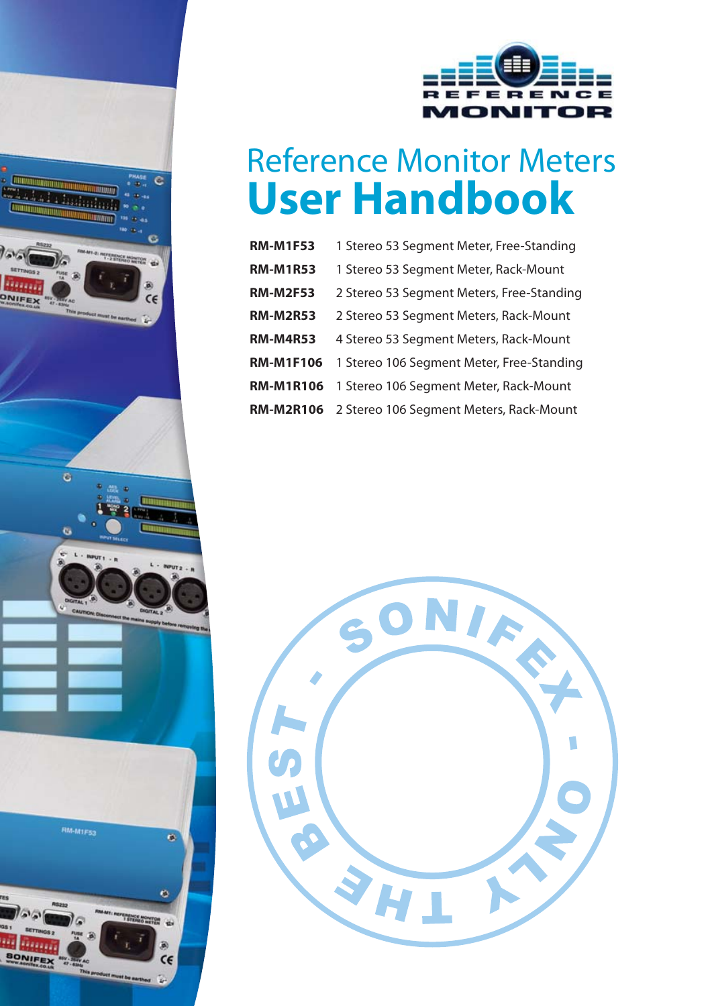

 $\overline{c}$ 

 $\ddot{\alpha}$ 



# Reference Monitor Meters **User Handbook**

| <b>RM-M1F53</b>  | 1 Stereo 53 Segment Meter, Free-Standing  |
|------------------|-------------------------------------------|
| <b>RM-M1R53</b>  | 1 Stereo 53 Segment Meter, Rack-Mount     |
| <b>RM-M2F53</b>  | 2 Stereo 53 Segment Meters, Free-Standing |
| <b>RM-M2R53</b>  | 2 Stereo 53 Segment Meters, Rack-Mount    |
| <b>RM-M4R53</b>  | 4 Stereo 53 Segment Meters, Rack-Mount    |
| <b>RM-M1F106</b> | 1 Stereo 106 Segment Meter, Free-Standing |
| <b>RM-M1R106</b> | 1 Stereo 106 Segment Meter, Rack-Mount    |
| <b>RM-M2R106</b> | 2 Stereo 106 Segment Meters, Rack-Mount   |

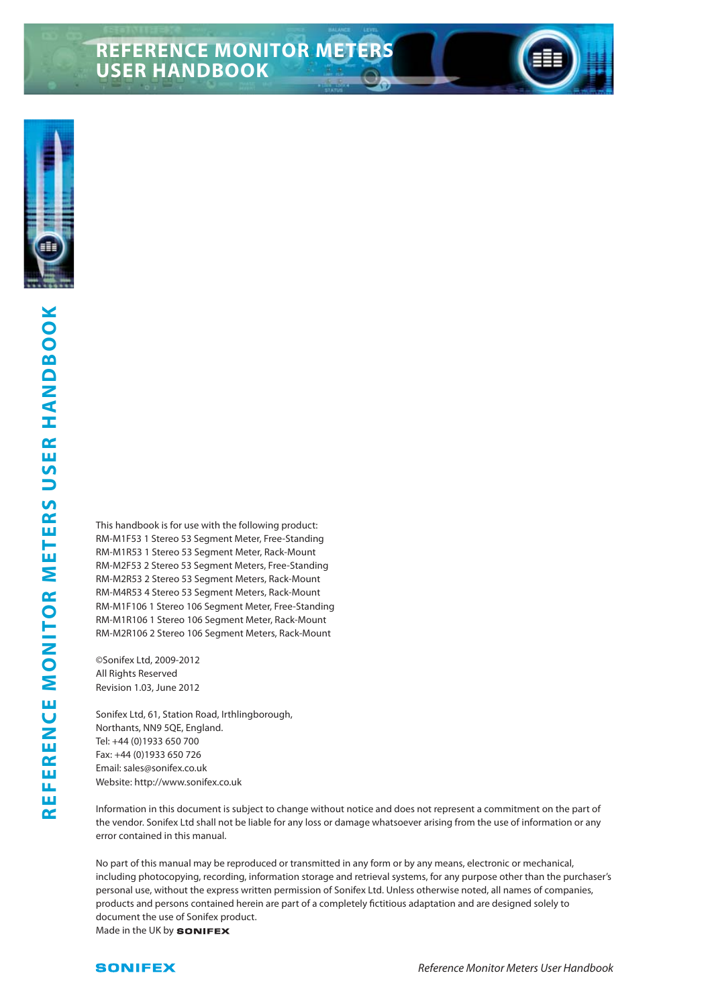# **REFERENCE MONITOR METERS USER HANDBOOK**



This handbook is for use with the following product: RM-M1F53 1 Stereo 53 Segment Meter, Free-Standing RM-M1R53 1 Stereo 53 Segment Meter, Rack-Mount RM-M2F53 2 Stereo 53 Segment Meters, Free-Standing RM-M2R53 2 Stereo 53 Segment Meters, Rack-Mount RM-M4R53 4 Stereo 53 Segment Meters, Rack-Mount RM-M1F106 1 Stereo 106 Segment Meter, Free-Standing RM-M1R106 1 Stereo 106 Segment Meter, Rack-Mount RM-M2R106 2 Stereo 106 Segment Meters, Rack-Mount

©Sonifex Ltd, 2009-2012 All Rights Reserved Revision 1.03, June 2012

Sonifex Ltd, 61, Station Road, Irthlingborough, Northants, NN9 5QE, England. Tel: +44 (0)1933 650 700 Fax: +44 (0)1933 650 726 Email: sales@sonifex.co.uk Website: http://www.sonifex.co.uk

Information in this document is subject to change without notice and does not represent a commitment on the part of the vendor. Sonifex Ltd shall not be liable for any loss or damage whatsoever arising from the use of information or any error contained in this manual.

No part of this manual may be reproduced or transmitted in any form or by any means, electronic or mechanical, including photocopying, recording, information storage and retrieval systems, for any purpose other than the purchaser's personal use, without the express written permission of Sonifex Ltd. Unless otherwise noted, all names of companies, products and persons contained herein are part of a completely fictitious adaptation and are designed solely to document the use of Sonifex product. Made in the UK by **SONIFEX**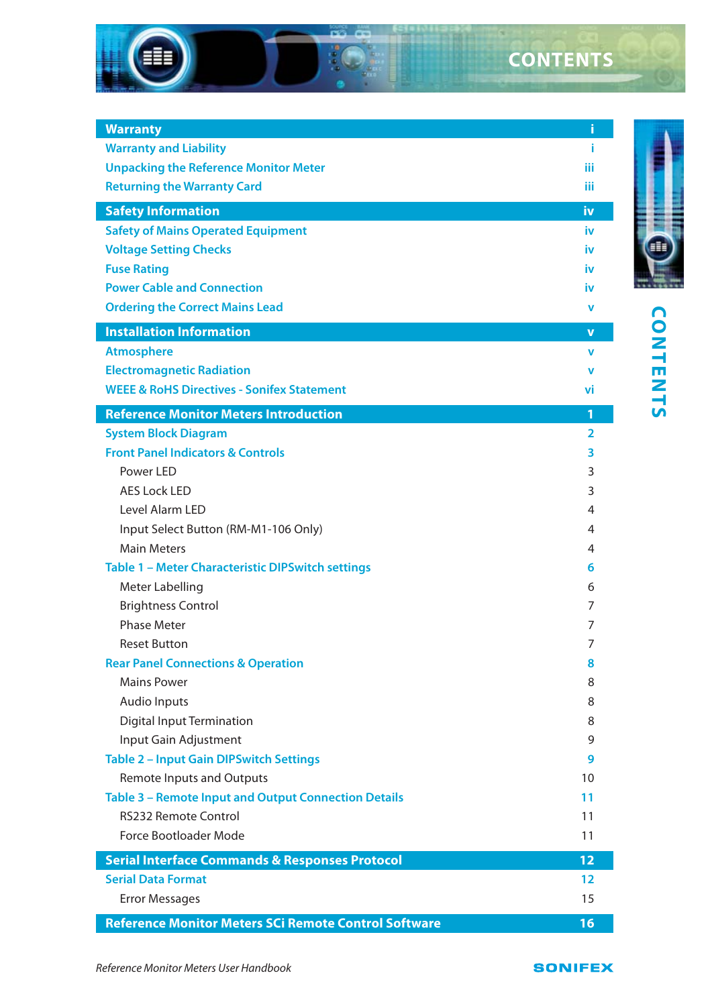

| <b>Warranty</b>                                                                                 | i               |                |
|-------------------------------------------------------------------------------------------------|-----------------|----------------|
| <b>Warranty and Liability</b>                                                                   | î.              |                |
| <b>Unpacking the Reference Monitor Meter</b>                                                    | iίi             |                |
| <b>Returning the Warranty Card</b>                                                              | iij             |                |
| <b>Safety Information</b>                                                                       | iv              |                |
| <b>Safety of Mains Operated Equipment</b>                                                       | iv              |                |
| <b>Voltage Setting Checks</b>                                                                   | iv              |                |
| <b>Fuse Rating</b>                                                                              | iv              |                |
| <b>Power Cable and Connection</b>                                                               | iv              |                |
| <b>Ordering the Correct Mains Lead</b>                                                          | v               |                |
| <b>Installation Information</b>                                                                 | v               | <b>CONTENT</b> |
| <b>Atmosphere</b>                                                                               | v               |                |
| <b>Electromagnetic Radiation</b>                                                                | v               |                |
| <b>WEEE &amp; RoHS Directives - Sonifex Statement</b>                                           | vi              |                |
| <b>Reference Monitor Meters Introduction</b>                                                    | 1               |                |
| <b>System Block Diagram</b>                                                                     | $\overline{2}$  |                |
| <b>Front Panel Indicators &amp; Controls</b>                                                    | 3               |                |
| Power LED                                                                                       | 3               |                |
| <b>AES Lock LED</b>                                                                             | 3               |                |
| Level Alarm LED                                                                                 | 4               |                |
| Input Select Button (RM-M1-106 Only)                                                            | 4               |                |
| <b>Main Meters</b>                                                                              | 4               |                |
| Table 1 - Meter Characteristic DIPSwitch settings                                               | 6               |                |
|                                                                                                 | 6               |                |
| Meter Labelling<br><b>Brightness Control</b>                                                    | 7               |                |
| <b>Phase Meter</b>                                                                              | 7               |                |
| <b>Reset Button</b>                                                                             | 7               |                |
|                                                                                                 | 8               |                |
| <b>Rear Panel Connections &amp; Operation</b><br><b>Mains Power</b>                             | 8               |                |
| <b>Audio Inputs</b>                                                                             | 8               |                |
|                                                                                                 | 8               |                |
| Digital Input Termination<br>Input Gain Adjustment                                              | 9               |                |
| <b>Table 2 - Input Gain DIPSwitch Settings</b>                                                  | 9               |                |
|                                                                                                 | 10              |                |
| <b>Remote Inputs and Outputs</b><br><b>Table 3 - Remote Input and Output Connection Details</b> | 11              |                |
| <b>RS232 Remote Control</b>                                                                     | 11              |                |
| Force Bootloader Mode                                                                           | 11              |                |
|                                                                                                 |                 |                |
| <b>Serial Interface Commands &amp; Responses Protocol</b>                                       | 12 <sub>1</sub> |                |
| <b>Serial Data Format</b>                                                                       | 12              |                |
| <b>Error Messages</b>                                                                           | 15              |                |
| Reference Monitor Meters SCi Remote Control Software                                            | 16              |                |
|                                                                                                 |                 |                |
| Reference Monitor Meters User Handbook                                                          | <b>SONIFEX</b>  |                |

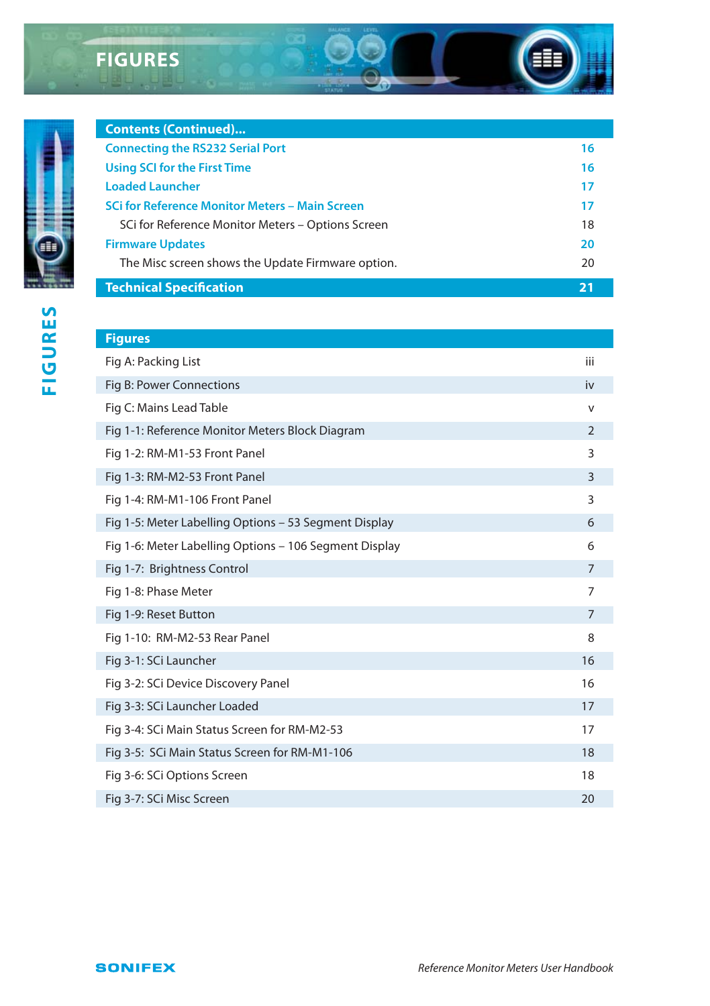# **FIGURES**

**Contents (Continued)...**



| <b>Technical Specification</b>                        | 21 |
|-------------------------------------------------------|----|
| The Misc screen shows the Update Firmware option.     | 20 |
| <b>Firmware Updates</b>                               | 20 |
| SCI for Reference Monitor Meters - Options Screen     | 18 |
| <b>SCi for Reference Monitor Meters - Main Screen</b> | 17 |
| <b>Loaded Launcher</b>                                | 17 |
| Using SCI for the First Time                          | 16 |
| <b>Connecting the RS232 Serial Port</b>               | 16 |

| <b>Figures</b>                                         |                |
|--------------------------------------------------------|----------------|
| Fig A: Packing List                                    | iii            |
| Fig B: Power Connections                               | iv             |
| Fig C: Mains Lead Table                                | v              |
| Fig 1-1: Reference Monitor Meters Block Diagram        | $\mathcal{P}$  |
| Fig 1-2: RM-M1-53 Front Panel                          | 3              |
| Fig 1-3: RM-M2-53 Front Panel                          | 3              |
| Fig 1-4: RM-M1-106 Front Panel                         | 3              |
| Fig 1-5: Meter Labelling Options - 53 Segment Display  | 6              |
| Fig 1-6: Meter Labelling Options - 106 Segment Display | 6              |
| Fig 1-7: Brightness Control                            | $\overline{7}$ |
| Fig 1-8: Phase Meter                                   | 7              |
| Fig 1-9: Reset Button                                  | $\overline{7}$ |
| Fig 1-10: RM-M2-53 Rear Panel                          | 8              |
| Fig 3-1: SCi Launcher                                  | 16             |
| Fig 3-2: SCi Device Discovery Panel                    | 16             |
| Fig 3-3: SCi Launcher Loaded                           | 17             |
| Fig 3-4: SCi Main Status Screen for RM-M2-53           | 17             |
| Fig 3-5: SCi Main Status Screen for RM-M1-106          | 18             |
| Fig 3-6: SCi Options Screen                            | 18             |
| Fig 3-7: SCi Misc Screen                               | 20             |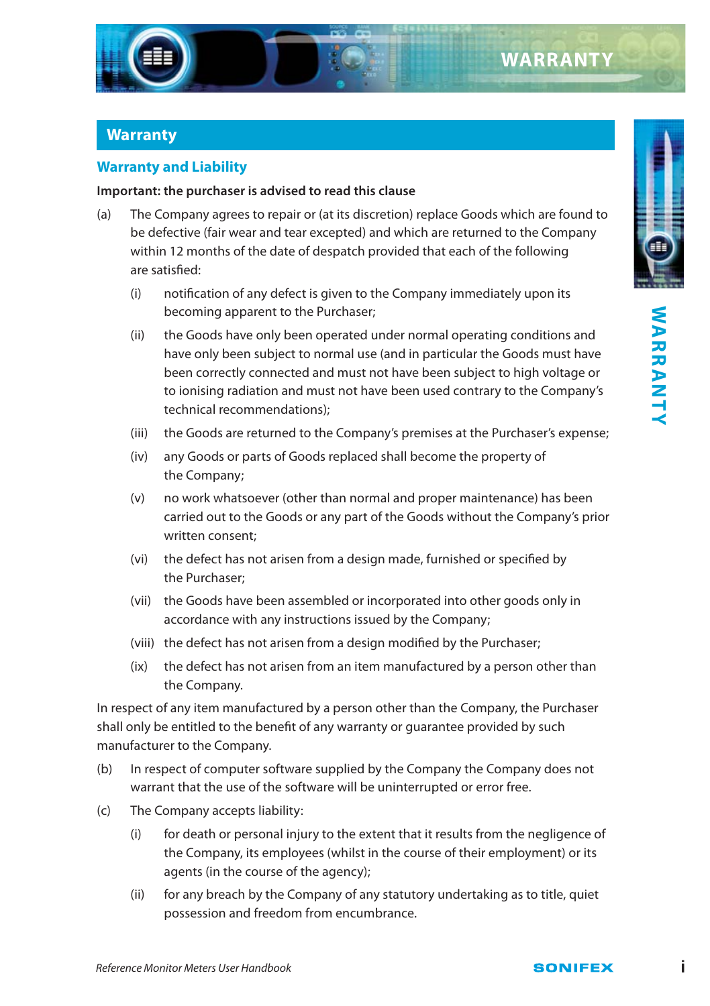

#### **Warranty**

#### **Warranty and Liability**

#### **Important: the purchaser is advised to read this clause**

- (a) The Company agrees to repair or (at its discretion) replace Goods which are found to be defective (fair wear and tear excepted) and which are returned to the Company within 12 months of the date of despatch provided that each of the following are satisfied:
	- (i) notification of any defect is given to the Company immediately upon its becoming apparent to the Purchaser;
	- (ii) the Goods have only been operated under normal operating conditions and have only been subject to normal use (and in particular the Goods must have been correctly connected and must not have been subject to high voltage or to ionising radiation and must not have been used contrary to the Company's technical recommendations);
	- (iii) the Goods are returned to the Company's premises at the Purchaser's expense;
	- (iv) any Goods or parts of Goods replaced shall become the property of the Company;
	- (v) no work whatsoever (other than normal and proper maintenance) has been carried out to the Goods or any part of the Goods without the Company's prior written consent;
	- (vi) the defect has not arisen from a design made, furnished or specified by the Purchaser;
	- (vii) the Goods have been assembled or incorporated into other goods only in accordance with any instructions issued by the Company;
	- (viii) the defect has not arisen from a design modified by the Purchaser;
	- (ix) the defect has not arisen from an item manufactured by a person other than the Company.

In respect of any item manufactured by a person other than the Company, the Purchaser shall only be entitled to the benefit of any warranty or guarantee provided by such manufacturer to the Company.

- (b) In respect of computer software supplied by the Company the Company does not warrant that the use of the software will be uninterrupted or error free.
- (c) The Company accepts liability:
	- (i) for death or personal injury to the extent that it results from the negligence of the Company, its employees (whilst in the course of their employment) or its agents (in the course of the agency);
	- (ii) for any breach by the Company of any statutory undertaking as to title, quiet possession and freedom from encumbrance.

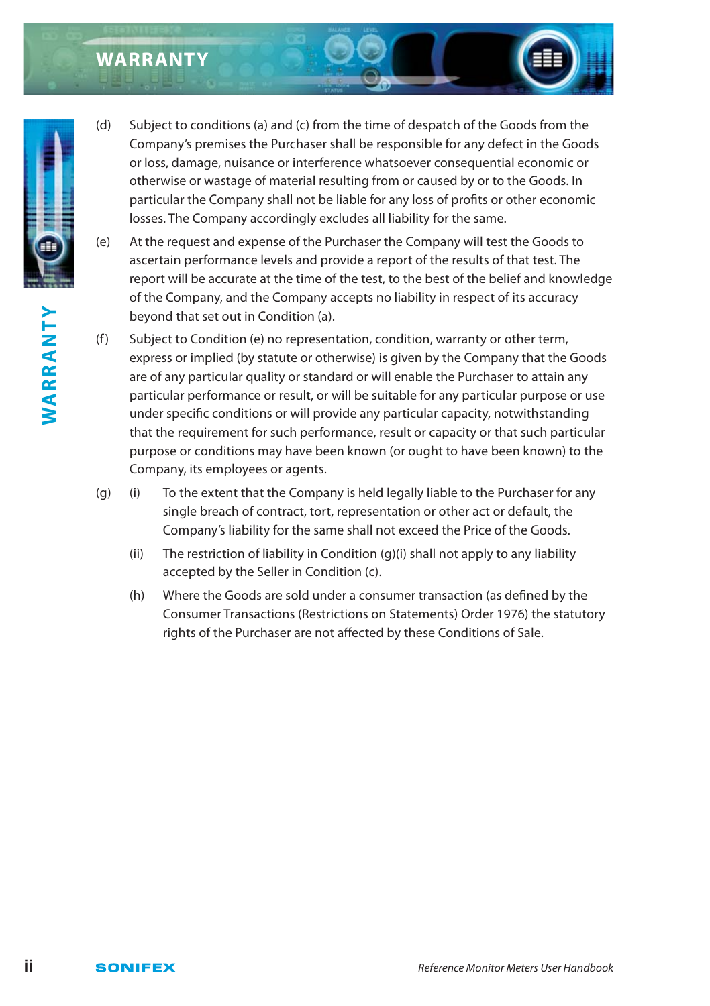# **WARRANTY**



- (e) At the request and expense of the Purchaser the Company will test the Goods to ascertain performance levels and provide a report of the results of that test. The report will be accurate at the time of the test, to the best of the belief and knowledge of the Company, and the Company accepts no liability in respect of its accuracy beyond that set out in Condition (a).
- (f) Subject to Condition (e) no representation, condition, warranty or other term, express or implied (by statute or otherwise) is given by the Company that the Goods are of any particular quality or standard or will enable the Purchaser to attain any particular performance or result, or will be suitable for any particular purpose or use under specific conditions or will provide any particular capacity, notwithstanding that the requirement for such performance, result or capacity or that such particular purpose or conditions may have been known (or ought to have been known) to the Company, its employees or agents.
- (g) (i) To the extent that the Company is held legally liable to the Purchaser for any single breach of contract, tort, representation or other act or default, the Company's liability for the same shall not exceed the Price of the Goods.
	- (ii) The restriction of liability in Condition (g)(i) shall not apply to any liability accepted by the Seller in Condition (c).
	- (h) Where the Goods are sold under a consumer transaction (as defined by the Consumer Transactions (Restrictions on Statements) Order 1976) the statutory rights of the Purchaser are not affected by these Conditions of Sale.



WARRANTY **WARRANTY**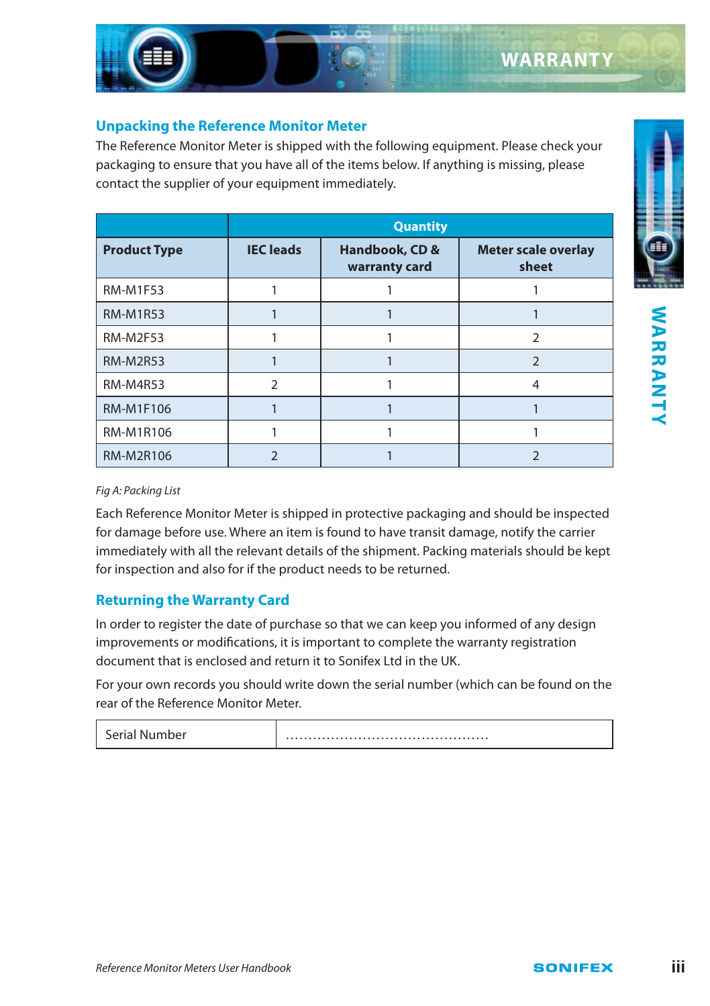#### **Unpacking the Reference Monitor Meter**

The Reference Monitor Meter is shipped with the following equipment. Please check your packaging to ensure that you have all of the items below. If anything is missing, please contact the supplier of your equipment immediately.

|                     |                  | <b>Quantity</b>                 |                                     |  |  |  |  |  |  |  |  |  |  |
|---------------------|------------------|---------------------------------|-------------------------------------|--|--|--|--|--|--|--|--|--|--|
| <b>Product Type</b> | <b>IEC</b> leads | Handbook, CD &<br>warranty card | <b>Meter scale overlay</b><br>sheet |  |  |  |  |  |  |  |  |  |  |
| <b>RM-M1F53</b>     |                  |                                 |                                     |  |  |  |  |  |  |  |  |  |  |
| <b>RM-M1R53</b>     |                  |                                 |                                     |  |  |  |  |  |  |  |  |  |  |
| <b>RM-M2F53</b>     |                  |                                 | 2                                   |  |  |  |  |  |  |  |  |  |  |
| <b>RM-M2R53</b>     |                  |                                 | 2                                   |  |  |  |  |  |  |  |  |  |  |
| <b>RM-M4R53</b>     | $\mathcal{P}$    |                                 | 4                                   |  |  |  |  |  |  |  |  |  |  |
| <b>RM-M1F106</b>    |                  |                                 |                                     |  |  |  |  |  |  |  |  |  |  |
| <b>RM-M1R106</b>    |                  |                                 |                                     |  |  |  |  |  |  |  |  |  |  |
| <b>RM-M2R106</b>    |                  |                                 |                                     |  |  |  |  |  |  |  |  |  |  |

**WARRANTY WARRANTY**

#### Fig A: Packing List

Each Reference Monitor Meter is shipped in protective packaging and should be inspected for damage before use. Where an item is found to have transit damage, notify the carrier immediately with all the relevant details of the shipment. Packing materials should be kept for inspection and also for if the product needs to be returned.

#### **Returning the Warranty Card**

In order to register the date of purchase so that we can keep you informed of any design improvements or modifications, it is important to complete the warranty registration document that is enclosed and return it to Sonifex Ltd in the UK.

For your own records you should write down the serial number (which can be found on the rear of the Reference Monitor Meter.

|--|--|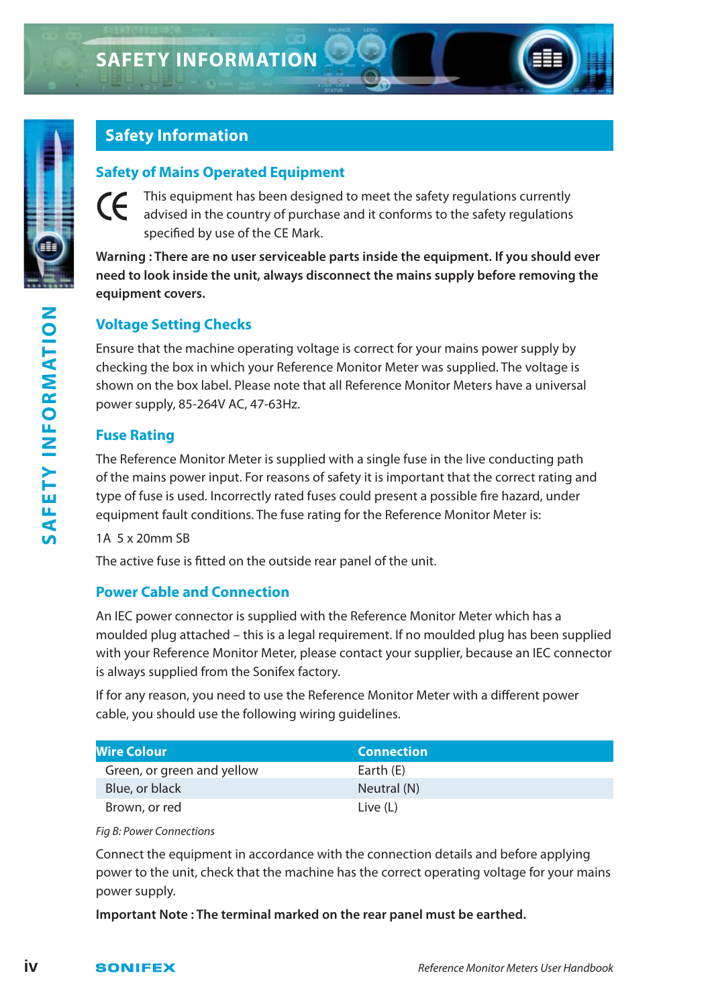

### **Safety Information**

#### **Safety of Mains Operated Equipment**

This equipment has been designed to meet the safety regulations currently CE advised in the country of purchase and it conforms to the safety regulations specified by use of the CE Mark.

**Warning : There are no user serviceable parts inside the equipment. If you should ever need to look inside the unit, always disconnect the mains supply before removing the equipment covers.**

#### **Voltage Setting Checks**

Ensure that the machine operating voltage is correct for your mains power supply by checking the box in which your Reference Monitor Meter was supplied. The voltage is shown on the box label. Please note that all Reference Monitor Meters have a universal power supply, 85-264V AC, 47-63Hz.

#### **Fuse Rating**

The Reference Monitor Meter is supplied with a single fuse in the live conducting path of the mains power input. For reasons of safety it is important that the correct rating and type of fuse is used. Incorrectly rated fuses could present a possible fire hazard, under equipment fault conditions. The fuse rating for the Reference Monitor Meter is:

#### 1A 5 x 20mm SB

The active fuse is fitted on the outside rear panel of the unit.

#### **Power Cable and Connection**

An IEC power connector is supplied with the Reference Monitor Meter which has a moulded plug attached – this is a legal requirement. If no moulded plug has been supplied with your Reference Monitor Meter, please contact your supplier, because an IEC connector is always supplied from the Sonifex factory.

If for any reason, you need to use the Reference Monitor Meter with a different power cable, you should use the following wiring guidelines.

| <b>Wire Colour</b>         | <b>Connection</b> |
|----------------------------|-------------------|
| Green, or green and yellow | Earth (E)         |
| Blue, or black             | Neutral (N)       |
| Brown, or red              | Live (L)          |

Fig B: Power Connections

Connect the equipment in accordance with the connection details and before applying power to the unit, check that the machine has the correct operating voltage for your mains power supply.

**Important Note : The terminal marked on the rear panel must be earthed.**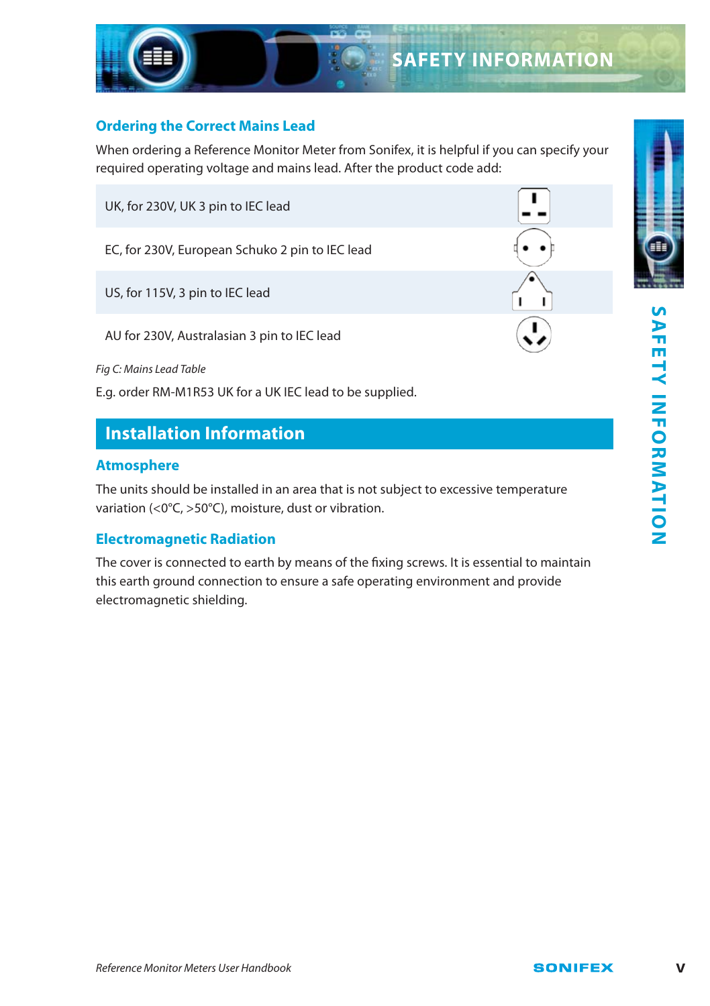Π

#### **Ordering the Correct Mains Lead**

When ordering a Reference Monitor Meter from Sonifex, it is helpful if you can specify your required operating voltage and mains lead. After the product code add:

UK, for 230V, UK 3 pin to IEC lead

EC, for 230V, European Schuko 2 pin to IEC lead

US, for 115V, 3 pin to IEC lead

AU for 230V, Australasian 3 pin to IEC lead

Fig C: Mains Lead Table

E.g. order RM-M1R53 UK for a UK IEC lead to be supplied.

## **Installation Information**

#### **Atmosphere**

The units should be installed in an area that is not subject to excessive temperature variation (<0°C, >50°C), moisture, dust or vibration.

#### **Electromagnetic Radiation**

The cover is connected to earth by means of the fixing screws. It is essential to maintain this earth ground connection to ensure a safe operating environment and provide electromagnetic shielding.

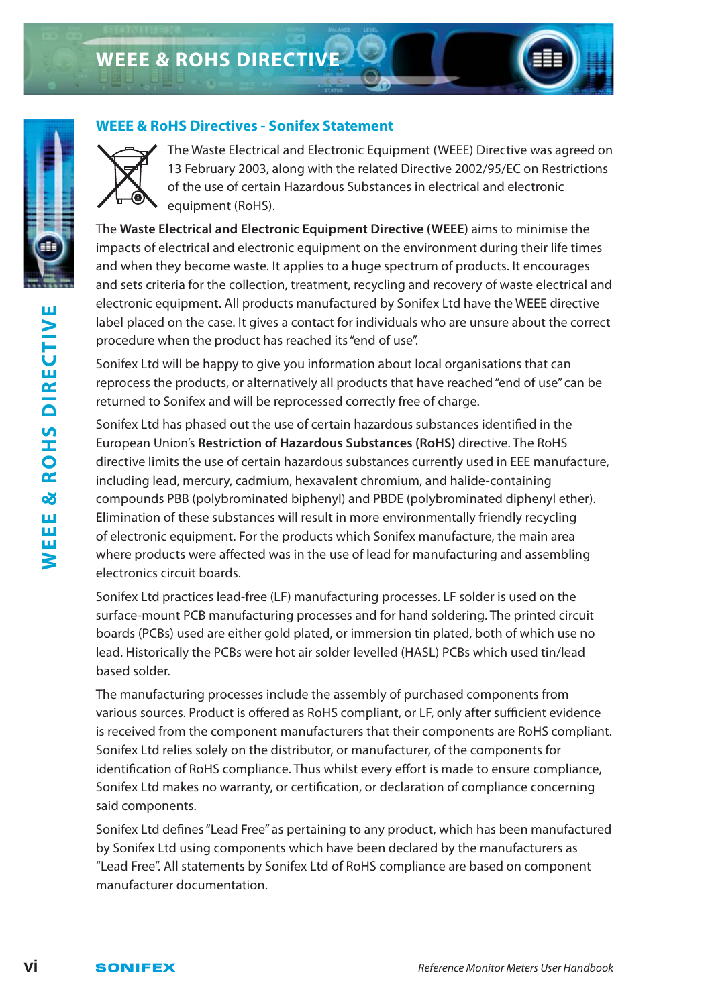



The Waste Electrical and Electronic Equipment (WEEE) Directive was agreed on 13 February 2003, along with the related Directive 2002/95/EC on Restrictions of the use of certain Hazardous Substances in electrical and electronic equipment (RoHS).

The **Waste Electrical and Electronic Equipment Directive (WEEE)** aims to minimise the impacts of electrical and electronic equipment on the environment during their life times and when they become waste. It applies to a huge spectrum of products. It encourages and sets criteria for the collection, treatment, recycling and recovery of waste electrical and electronic equipment. All products manufactured by Sonifex Ltd have the WEEE directive label placed on the case. It gives a contact for individuals who are unsure about the correct procedure when the product has reached its "end of use".

Sonifex Ltd will be happy to give you information about local organisations that can reprocess the products, or alternatively all products that have reached "end of use" can be returned to Sonifex and will be reprocessed correctly free of charge.

Sonifex Ltd has phased out the use of certain hazardous substances identified in the European Union's **Restriction of Hazardous Substances (RoHS)** directive. The RoHS directive limits the use of certain hazardous substances currently used in EEE manufacture, including lead, mercury, cadmium, hexavalent chromium, and halide-containing compounds PBB (polybrominated biphenyl) and PBDE (polybrominated diphenyl ether). Elimination of these substances will result in more environmentally friendly recycling of electronic equipment. For the products which Sonifex manufacture, the main area where products were affected was in the use of lead for manufacturing and assembling electronics circuit boards.

Sonifex Ltd practices lead-free (LF) manufacturing processes. LF solder is used on the surface-mount PCB manufacturing processes and for hand soldering. The printed circuit boards (PCBs) used are either gold plated, or immersion tin plated, both of which use no lead. Historically the PCBs were hot air solder levelled (HASL) PCBs which used tin/lead based solder.

The manufacturing processes include the assembly of purchased components from various sources. Product is offered as RoHS compliant, or LF, only after sufficient evidence is received from the component manufacturers that their components are RoHS compliant. Sonifex Ltd relies solely on the distributor, or manufacturer, of the components for identification of RoHS compliance. Thus whilst every effort is made to ensure compliance, Sonifex Ltd makes no warranty, or certification, or declaration of compliance concerning said components.

Sonifex Ltd defines "Lead Free" as pertaining to any product, which has been manufactured by Sonifex Ltd using components which have been declared by the manufacturers as "Lead Free". All statements by Sonifex Ltd of RoHS compliance are based on component manufacturer documentation.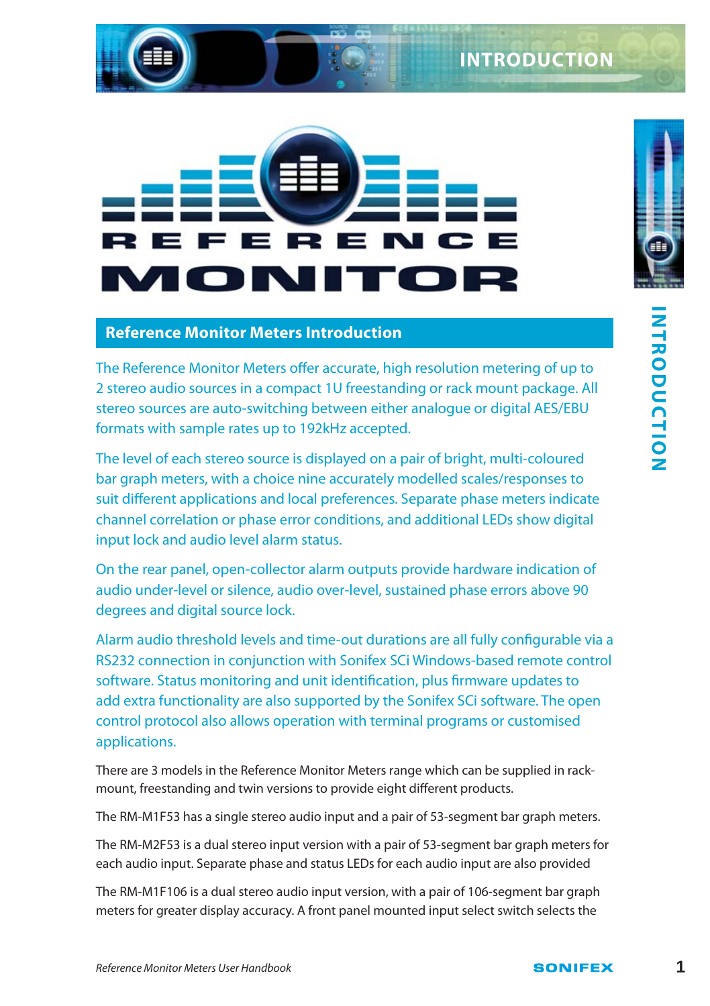# E R F Ī h l gall **IN**

#### **Reference Monitor Meters Introduction**

The Reference Monitor Meters offer accurate, high resolution metering of up to 2 stereo audio sources in a compact 1U freestanding or rack mount package. All stereo sources are auto-switching between either analogue or digital AES/EBU formats with sample rates up to 192kHz accepted.

The level of each stereo source is displayed on a pair of bright, multi-coloured bar graph meters, with a choice nine accurately modelled scales/responses to suit different applications and local preferences. Separate phase meters indicate channel correlation or phase error conditions, and additional LEDs show digital input lock and audio level alarm status.

On the rear panel, open-collector alarm outputs provide hardware indication of audio under-level or silence, audio over-level, sustained phase errors above 90 degrees and digital source lock.

**Reference Monitor Meters Introduction**<br>The Reference Monitor Meters offer accurate, high resolution metering of up to<br>2 stereo audio sources in a compact 1U freestanding or rack mount package. All<br>tormats with sample rate Alarm audio threshold levels and time-out durations are all fully configurable via a RS232 connection in conjunction with Sonifex SCi Windows-based remote control software. Status monitoring and unit identification, plus firmware updates to add extra functionality are also supported by the Sonifex SCi software. The open control protocol also allows operation with terminal programs or customised applications.

There are 3 models in the Reference Monitor Meters range which can be supplied in rackmount, freestanding and twin versions to provide eight different products.

The RM-M1F53 has a single stereo audio input and a pair of 53-segment bar graph meters.

The RM-M2F53 is a dual stereo input version with a pair of 53-segment bar graph meters for each audio input. Separate phase and status LEDs for each audio input are also provided

The RM-M1F106 is a dual stereo audio input version, with a pair of 106-segment bar graph meters for greater display accuracy. A front panel mounted input select switch selects the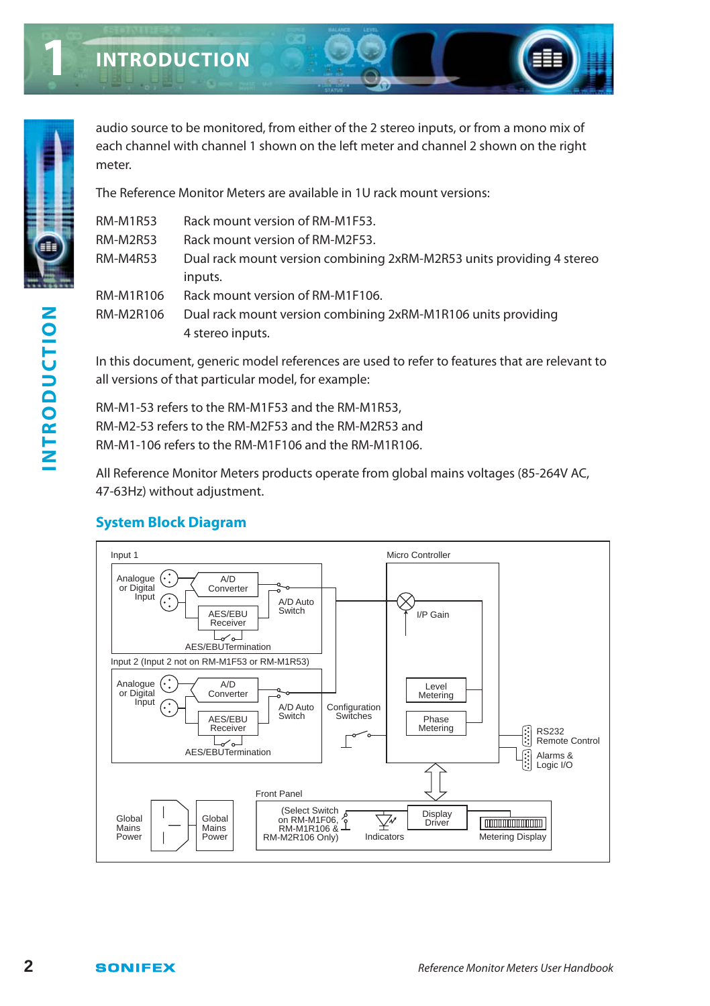

**1**

audio source to be monitored, from either of the 2 stereo inputs, or from a mono mix of each channel with channel 1 shown on the left meter and channel 2 shown on the right meter.

The Reference Monitor Meters are available in 1U rack mount versions:

| <b>RM-M1R53</b> | Rack mount version of RM-M1F53.                                       |
|-----------------|-----------------------------------------------------------------------|
| <b>RM-M2R53</b> | Rack mount version of RM-M2F53.                                       |
| RM-M4R53        | Dual rack mount version combining 2xRM-M2R53 units providing 4 stereo |
|                 | inputs.                                                               |
| RM-M1R106       | Rack mount version of RM-M1F106.                                      |
| RM-M2R106       | Dual rack mount version combining 2xRM-M1R106 units providing         |
|                 | 4 stereo inputs.                                                      |
|                 |                                                                       |

In this document, generic model references are used to refer to features that are relevant to all versions of that particular model, for example:

RM-M1-53 refers to the RM-M1F53 and the RM-M1R53, RM-M2-53 refers to the RM-M2F53 and the RM-M2R53 and RM-M1-106 refers to the RM-M1F106 and the RM-M1R106.

All Reference Monitor Meters products operate from global mains voltages (85-264V AC, 47-63Hz) without adjustment.

## **System Block Diagram**

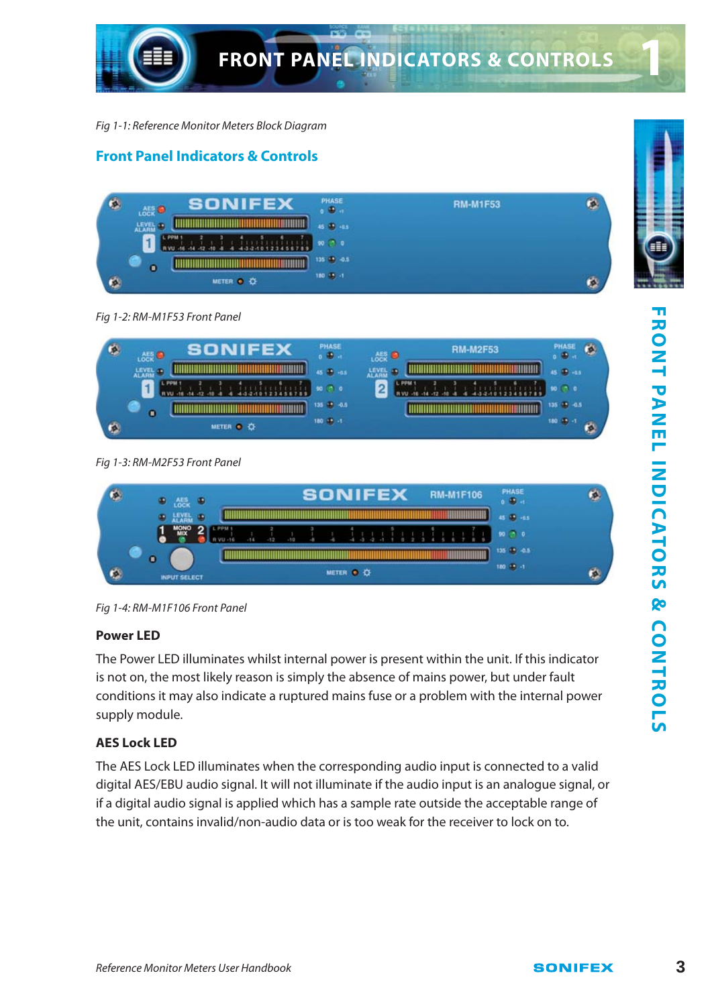

Fig 1-1: Reference Monitor Meters Block Diagram

#### **Front Panel Indicators & Controls**



Fig 1-2: RM-M1F53 Front Panel

| ¢ | SONIFEX<br>品景画 | PHASE<br>$0$ $\bullet$ $\bullet$ | <b>RM-M2F53</b><br>心哉● | PHASE<br>$0$ $\bullet$ $\bullet$ |
|---|----------------|----------------------------------|------------------------|----------------------------------|
|   | LEVEL &        | 45 (B) -0.5                      | LEVEL <sup>3</sup>     | 45 (B) -0.5                      |
|   | L PPM 1        |                                  | L PRM 1                | $90$ $\odot$ 0                   |
|   | $\bullet$      | 135 (8) -0.5                     |                        | 135 (8) -0.5                     |
| ¢ | METER O O      | 180 (9) -1                       |                        | 180 95 -                         |

#### Fig 1-3: RM-M2F53 Front Panel

| 100K                |  |  | <b>SONIFEX</b> |           |  |  |  |  | <b>RM-M1F106</b> | PHASE<br>$0.99$ at |  |  |
|---------------------|--|--|----------------|-----------|--|--|--|--|------------------|--------------------|--|--|
| $\bullet$ $HVB$     |  |  |                |           |  |  |  |  |                  | 45 (8) -65         |  |  |
|                     |  |  |                |           |  |  |  |  |                  | 90 (70)            |  |  |
| ٥                   |  |  |                |           |  |  |  |  |                  | 135 19 -0.5        |  |  |
| <b>INPUT SELECT</b> |  |  |                | METER O O |  |  |  |  |                  | $180 - 1$          |  |  |

Fig 1-4: RM-M1F106 Front Panel

#### **Power LED**

The Power LED illuminates whilst internal power is present within the unit. If this indicator is not on, the most likely reason is simply the absence of mains power, but under fault conditions it may also indicate a ruptured mains fuse or a problem with the internal power supply module.

#### **AES Lock LED**

The AES Lock LED illuminates when the corresponding audio input is connected to a valid digital AES/EBU audio signal. It will not illuminate if the audio input is an analogue signal, or if a digital audio signal is applied which has a sample rate outside the acceptable range of the unit, contains invalid/non-audio data or is too weak for the receiver to lock on to.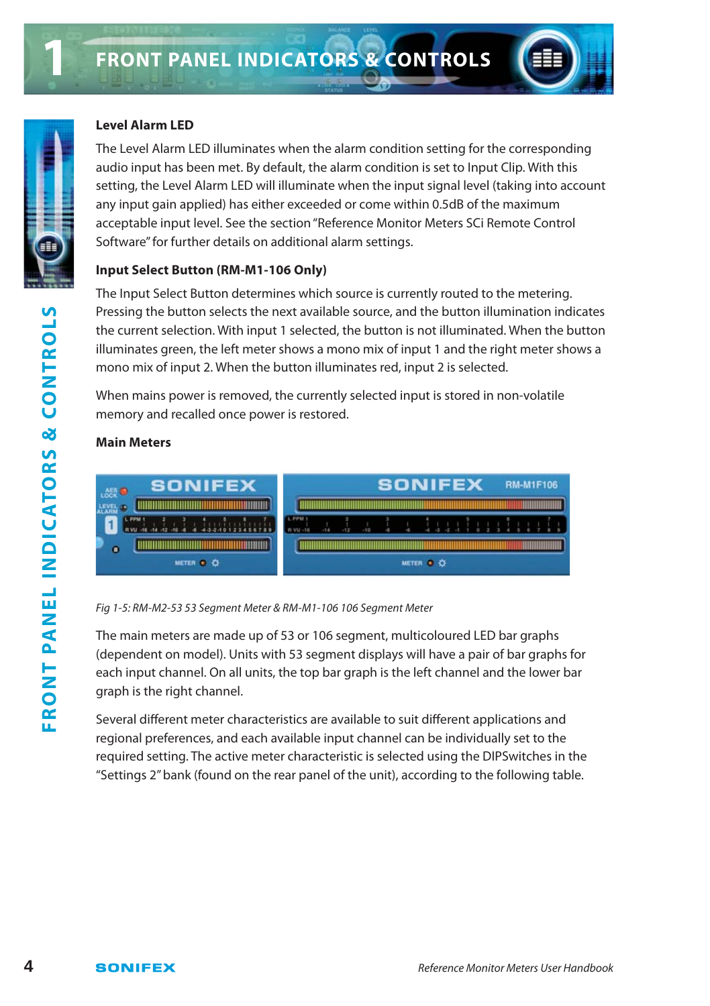

The Level Alarm LED illuminates when the alarm condition setting for the corresponding audio input has been met. By default, the alarm condition is set to Input Clip. With this setting, the Level Alarm LED will illuminate when the input signal level (taking into account any input gain applied) has either exceeded or come within 0.5dB of the maximum acceptable input level. See the section "Reference Monitor Meters SCi Remote Control Software" for further details on additional alarm settings.

#### **Input Select Button (RM-M1-106 Only)**

The Input Select Button determines which source is currently routed to the metering. Pressing the button selects the next available source, and the button illumination indicates the current selection. With input 1 selected, the button is not illuminated. When the button illuminates green, the left meter shows a mono mix of input 1 and the right meter shows a mono mix of input 2. When the button illuminates red, input 2 is selected.

When mains power is removed, the currently selected input is stored in non-volatile memory and recalled once power is restored.

#### **Main Meters**



Fig 1-5: RM-M2-53 53 Segment Meter & RM-M1-106 106 Segment Meter

The main meters are made up of 53 or 106 segment, multicoloured LED bar graphs (dependent on model). Units with 53 segment displays will have a pair of bar graphs for each input channel. On all units, the top bar graph is the left channel and the lower bar graph is the right channel.

Several different meter characteristics are available to suit different applications and regional preferences, and each available input channel can be individually set to the required setting. The active meter characteristic is selected using the DIPSwitches in the "Settings 2" bank (found on the rear panel of the unit), according to the following table.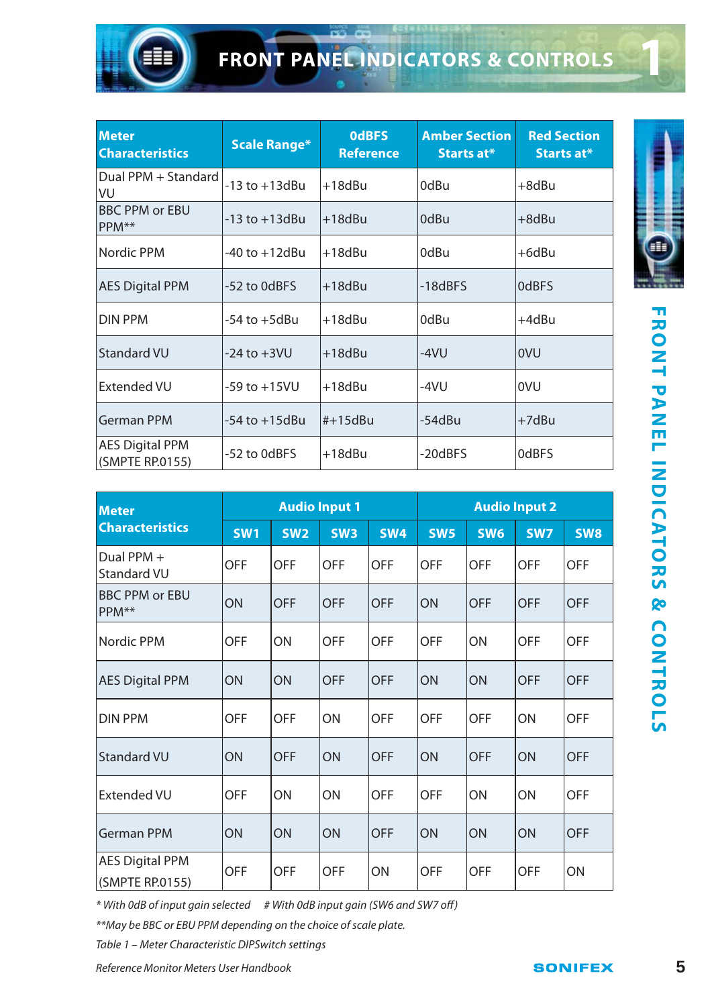

| <b>Meter</b><br><b>Characteristics</b>    | Scale Range*       | <b>OdBFS</b><br><b>Reference</b> | <b>Amber Section</b><br>Starts at* | <b>Red Section</b><br>Starts at* |  |
|-------------------------------------------|--------------------|----------------------------------|------------------------------------|----------------------------------|--|
| Dual PPM + Standard<br>lvu                | -13 to +13dBu      | $+18$ d $Bu$                     | 0dBu                               | +8dBu                            |  |
| <b>BBC PPM or EBU</b><br>PPM**            | $-13$ to $+13$ dBu | $+18dBu$                         | 0dBu                               | $+8$ d $Bu$                      |  |
| Nordic PPM                                | -40 to +12dBu      | $+18$ d $Bu$                     | 0dBu                               | +6dBu                            |  |
| <b>AES Digital PPM</b>                    | -52 to 0dBFS       | +18dBu                           | $-18dBFS$                          | 0dBFS                            |  |
| <b>DIN PPM</b>                            | -54 to +5dBu       | +18dBu                           | 0dBu                               | +4dBu                            |  |
| <b>Standard VU</b>                        | $-24$ to $+3$ VU   | +18dBu                           | $-4VU$                             | <b>OVU</b>                       |  |
| <b>Extended VU</b>                        | $-59$ to $+15$ VU  | +18dBu                           | -4VU                               | lovu                             |  |
| <b>German PPM</b>                         | $-54$ to $+15$ dBu | $#+15dBu$                        | -54dBu                             | $+7dBu$                          |  |
| <b>AES Digital PPM</b><br>(SMPTE RP.0155) | -52 to 0dBFS       | $+18$ d $Bu$                     | -20dBFS                            | 0dBFS                            |  |

| <b>Meter</b>                              |                          | <b>Audio Input 1</b> |                 |            | <b>Audio Input 2</b> |                 |            |            |  |  |  |
|-------------------------------------------|--------------------------|----------------------|-----------------|------------|----------------------|-----------------|------------|------------|--|--|--|
| <b>Characteristics</b>                    | <b>SW2</b><br><b>SW1</b> |                      | SW <sub>3</sub> | <b>SW4</b> | <b>SW5</b>           | SW <sub>6</sub> | <b>SW7</b> | <b>SW8</b> |  |  |  |
| Dual PPM +<br>Standard VU                 | <b>OFF</b>               | <b>OFF</b>           | <b>OFF</b>      | <b>OFF</b> | <b>OFF</b>           | <b>OFF</b>      | <b>OFF</b> | <b>OFF</b> |  |  |  |
| <b>BBC PPM or EBU</b><br>PPM**            | ON                       | <b>OFF</b>           | <b>OFF</b>      | <b>OFF</b> | ON                   | <b>OFF</b>      | <b>OFF</b> | <b>OFF</b> |  |  |  |
| Nordic PPM                                | <b>OFF</b><br>ON         |                      | <b>OFF</b>      | <b>OFF</b> | OFF                  | ON              | <b>OFF</b> | <b>OFF</b> |  |  |  |
| <b>AES Digital PPM</b>                    | ON<br>ON                 |                      | <b>OFF</b>      | <b>OFF</b> | ON                   | ON              | <b>OFF</b> | <b>OFF</b> |  |  |  |
| <b>DIN PPM</b>                            | <b>OFF</b><br><b>OFF</b> |                      | ON              | <b>OFF</b> | <b>OFF</b>           |                 | ON         | <b>OFF</b> |  |  |  |
| <b>Standard VU</b>                        | ON<br><b>OFF</b>         |                      | ON              | <b>OFF</b> | ON                   | <b>OFF</b>      | ON         | <b>OFF</b> |  |  |  |
| Extended VU                               | <b>OFF</b>               | ON                   | ON              | <b>OFF</b> | <b>OFF</b>           | ON              | ON         | <b>OFF</b> |  |  |  |
| <b>German PPM</b>                         | ON                       | ON                   | ON              | <b>OFF</b> | ON                   | ON              | ON         | OFF        |  |  |  |
| <b>AES Digital PPM</b><br>(SMPTE RP.0155) | OFF                      | <b>OFF</b>           | <b>OFF</b>      | ON         | <b>OFF</b>           | <b>OFF</b>      | <b>OFF</b> | ON         |  |  |  |



\* With 0dB of input gain selected # With 0dB input gain (SW6 and SW7 off)

\*\*May be BBC or EBU PPM depending on the choice of scale plate.

Table 1 – Meter Characteristic DIPSwitch settings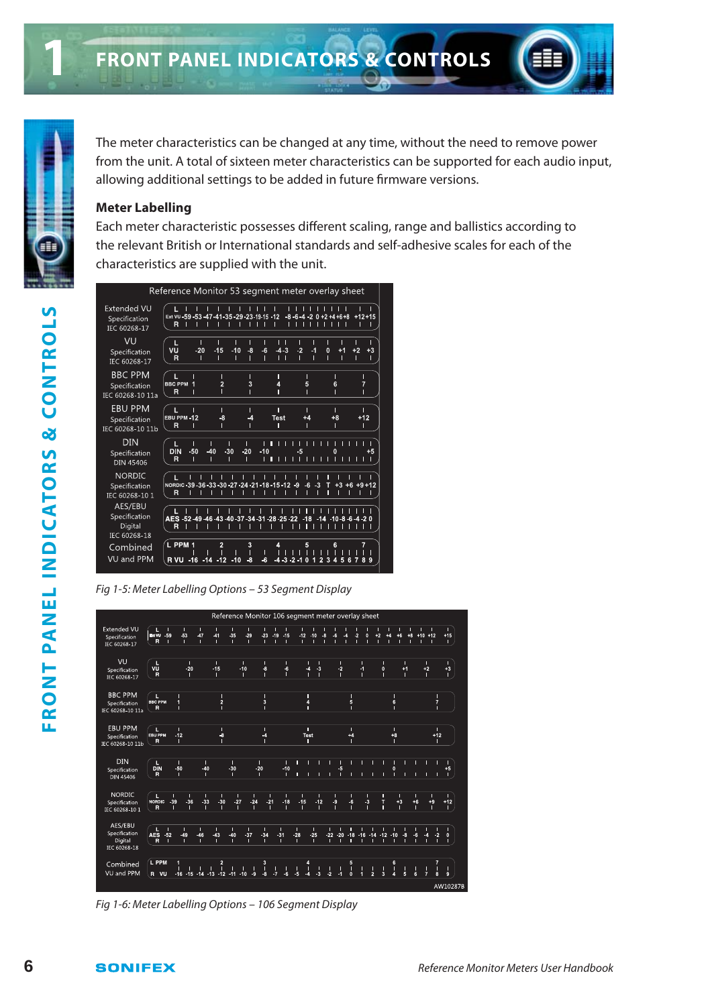Reference Monitor 53 segment meter overlay sheet Extended VU  $1$   $1$   $1$   $1$   $1$   $1$   $1$   $1$   $1$   $1$  $11111111$ <br>-8.6.4.20+2+4+6+8 ī  $\frac{1}{12}$ Specification  $R$   $\left| \right|$   $\left| \right|$   $\left| \right|$   $\left| \right|$   $\left| \right|$   $\left| \right|$   $\left| \right|$   $\left| \right|$   $\left| \right|$   $\left| \right|$   $\left| \right|$   $\left| \right|$   $\left| \right|$   $\left| \right|$   $\left| \right|$   $\left| \right|$   $\left| \right|$   $\left| \right|$   $\left| \right|$   $\left| \right|$   $\left| \right|$   $\left| \right|$   $\left| \right|$   $\left| \right|$  Ħ ii ii IEC 60268-17 VU  $\frac{1}{10}$  $\frac{1}{4}$  $\frac{1}{12}$  $\frac{1}{8}$  $\frac{1}{6}$  $\frac{1}{11}$  $\frac{1}{15}$ vu<br>R Specification -20  $\frac{1}{2}$ IFC 60268-17 **BBC PPM**  $\mathbf{I}$  $\frac{1}{5}$  $6$ Specification ັຖ IEC 60268-10 11a EBU PPM  $\frac{1}{1}$ ໌ L<br>EBU PPM -12  $\frac{1}{14}$ Test Specification Ř IEC 60268-10 11b  $\textrm{DIN}$  $\begin{array}{c}\n1 \\
20 \\
1\n\end{array}$  $\frac{1}{40}$  $\frac{1}{30}$ 맹 Specification **DIN 45406 NORDIC** ţ  $\frac{1}{+3}$ J. п Specification IEC 60268-10 1 AES/EBU Specification Digital Ř  $\frac{1}{1}$ IEC 60268-18 ∕L PPM 1 Combined  $\frac{1}{2}$  $\frac{1}{2}$  $\frac{1}{4}$   $\frac{1}{2}$   $\frac{1}{4}$ VU and PPM

Fig 1-5: Meter Labelling Options – 53 Segment Display

|                                                     |                                        |                                    |                                    |                                    |                               |                 | Reference Monitor 106 segment meter overlay sheet |                              |                                               |                                                 |                                                                                             |
|-----------------------------------------------------|----------------------------------------|------------------------------------|------------------------------------|------------------------------------|-------------------------------|-----------------|---------------------------------------------------|------------------------------|-----------------------------------------------|-------------------------------------------------|---------------------------------------------------------------------------------------------|
| <b>Extended VU</b><br>Specification<br>IEC 60268-17 | п<br>п<br>-59<br><b>BAVU</b><br>R<br>л | п<br>$-53$<br>п                    | п<br>п<br>$-47$<br>41<br>п<br>л    | n.<br>п<br>-35<br>$-29$<br>п<br>п  | п<br>23<br>$-19$<br>п<br>п    | $-15$<br>п      | п<br>$-12$<br>$-10$<br>n<br>п                     | $-6$<br>-8<br>$-4$<br>п<br>п | z<br>о<br>п<br>п                              | $+2$<br>$+6$<br>44<br>п<br>п<br>п               | п<br>п<br>п<br>$+10 +12$<br>$*8$<br>$+15$<br>п<br>r<br>п<br>п                               |
| VU<br>Specification<br>IEC 60268-17                 | L<br>vū<br>R                           | n.<br>$-20$<br>п                   | п<br>$-15$<br>п                    | n.<br>$-10$<br>п                   | п<br>$\ddot{\textbf{3}}$<br>п | п<br>$-6$       | л<br>п<br>$-3$<br>$\mathcal{A}$<br>п              | п<br>$-2$<br>л               | п<br>и<br>п                                   | п<br>п<br>$\mathbf 0$<br>$+1$<br>п<br>п         | п<br>п<br>$+2$<br>$+3$<br>n<br>п                                                            |
| <b>BBC PPM</b><br>Specification<br>IEC 60268-10 11a | п.<br><b>BBC PPM</b><br>R              | r                                  | $\overline{2}$                     |                                    | П<br>$\overline{3}$<br>П      |                 | п<br>4<br>п                                       |                              | 5                                             | П<br>6<br>n                                     | г<br>$\overline{7}$<br>п                                                                    |
| <b>EBU PPM</b><br>Specification<br>IEC 60268-10 11b | <b>EBU PPM</b><br>$\overline{R}$       | п<br>$-12$<br>п                    | п<br>$\ddot{\textbf{3}}$<br>г      |                                    | п<br>$\rightarrow$<br>п       |                 | п<br>Test<br>п                                    |                              | п<br>$+4$                                     | п<br>$+8$<br>п                                  | п<br>$+12$<br>п                                                                             |
| DIN<br>Specification<br><b>DIN 45406</b>            | п<br>DIN<br>R                          | п<br>$-50$<br>n.                   | п<br>$-40$<br>п                    | П<br>$-30$<br>п                    | п<br>$-20$<br>п               | п<br>$-10$<br>п | п<br>п                                            | -5<br>п<br>п                 | п<br>п                                        | п<br>П<br>г<br>$\mathbf{0}$<br>n<br>п<br>r      | п<br>$+5$<br>г<br>п<br>п                                                                    |
| <b>NORDIC</b><br>Specification<br>IEC 60268-10 1    | п<br><b>NORDIC</b><br>$\mathbf{R}$     | п<br>п<br>$-39$<br>$-36$<br>п<br>п | п<br>п<br>$-33$<br>$-30$<br>п      | п<br>П<br>$-24$<br>$-27$<br>п<br>П | п<br>$-21$<br>п               | п<br>$-18$<br>п | п<br>п<br>$-15$<br>$-12$<br>п                     | п<br>$\cdot$<br>п            | п<br>$-6$<br>$\triangleleft$<br>п             | п<br>п<br>T<br>$+3$<br>п<br>п                   | п<br>п<br>$+6$<br>$+9$<br>$+12$<br>п<br>п<br>п                                              |
| AES/EBU<br>Specification<br>Digital<br>IEC 60268-18 | п<br><b>AES</b><br>$-52$<br>R<br>п     | п<br>$-49$<br>п                    | п<br>п<br>$-46$<br>$-43$<br>п<br>п | п<br>п<br>$-40$<br>$-37$<br>п<br>n | п<br>$-34$<br>п               | п<br>$-31$<br>n | п<br>п<br>$-28$<br>$-25$<br>п<br>п                | п<br>$22 - 20$<br>п<br>п     | $-18$<br>п<br>r                               | -16 -14 -12 -10<br>$\overline{\mathbf{3}}$<br>г | п<br>п<br>$\overline{6}$<br>$\overline{4}$<br>$\overline{2}$<br>$\mathbf{0}$<br>п<br>ı<br>ī |
| Combined<br>VU and PPM                              | 'L PPM<br>R VU                         | п<br>$-16 - 15$                    | $\overline{2}$<br>14 13 12         | $-11$<br>$-10$<br>$-9$             | 3<br>п<br>п<br>$\cdot$<br>-7  | п<br>$-6$       | 4<br>I.<br>Ţ<br>-6<br>$\sim$<br>$\overline{4}$    | П<br>$-2$<br>и               | 5<br>D<br>$\overline{2}$<br>$\mathbf{0}$<br>и | 6<br>n<br>П<br>Ľ<br>Б<br>$\overline{3}$<br>z    | $\frac{1}{8}$<br>п<br>ļ<br>п<br>6<br>$\mathbf{9}$                                           |
|                                                     |                                        |                                    |                                    |                                    |                               |                 |                                                   |                              |                                               |                                                 | AW10287B                                                                                    |

Fig 1-6: Meter Labelling Options – 106 Segment Display

#### **Meter Labelling**

Each meter characteristic possesses different scaling, range and ballistics according to the relevant British or International standards and self-adhesive scales for each of the characteristics are supplied with the unit.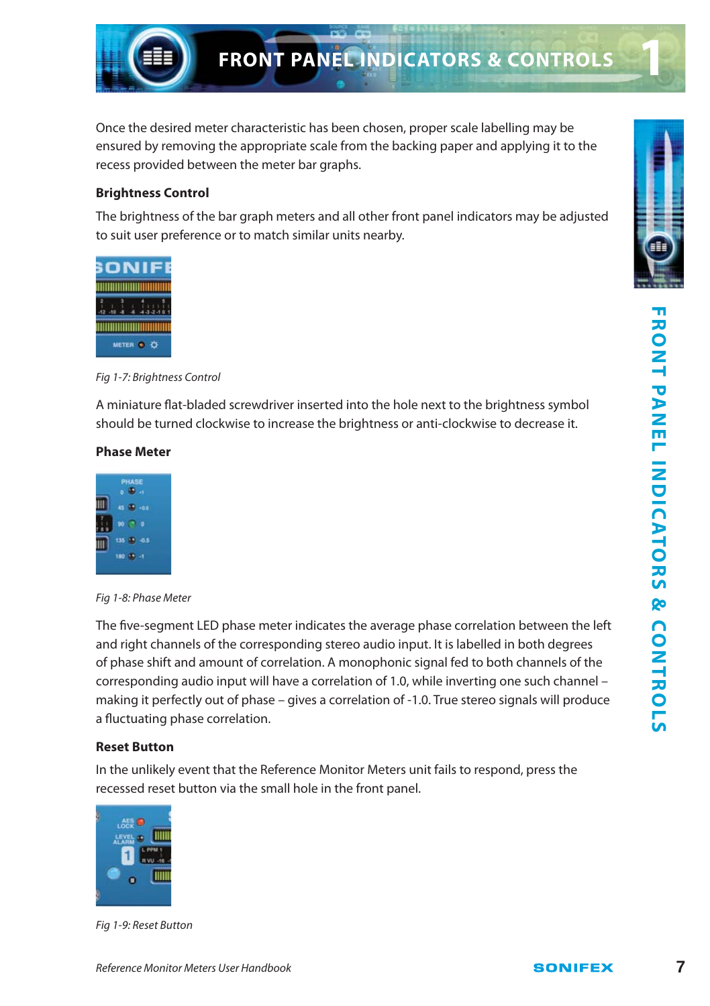

# **FRONT PANEL INDICATORS & CONTROLS**

Once the desired meter characteristic has been chosen, proper scale labelling may be ensured by removing the appropriate scale from the backing paper and applying it to the recess provided between the meter bar graphs.

#### **Brightness Control**

The brightness of the bar graph meters and all other front panel indicators may be adjusted to suit user preference or to match similar units nearby.



Fig 1-7: Brightness Control

A miniature flat-bladed screwdriver inserted into the hole next to the brightness symbol should be turned clockwise to increase the brightness or anti-clockwise to decrease it.

#### **Phase Meter**



Fig 1-8: Phase Meter

The five-segment LED phase meter indicates the average phase correlation between the left and right channels of the corresponding stereo audio input. It is labelled in both degrees of phase shift and amount of correlation. A monophonic signal fed to both channels of the corresponding audio input will have a correlation of 1.0, while inverting one such channel – making it perfectly out of phase – gives a correlation of -1.0. True stereo signals will produce a fluctuating phase correlation.

#### **Reset Button**

In the unlikely event that the Reference Monitor Meters unit fails to respond, press the recessed reset button via the small hole in the front panel.



Fig 1-9: Reset Button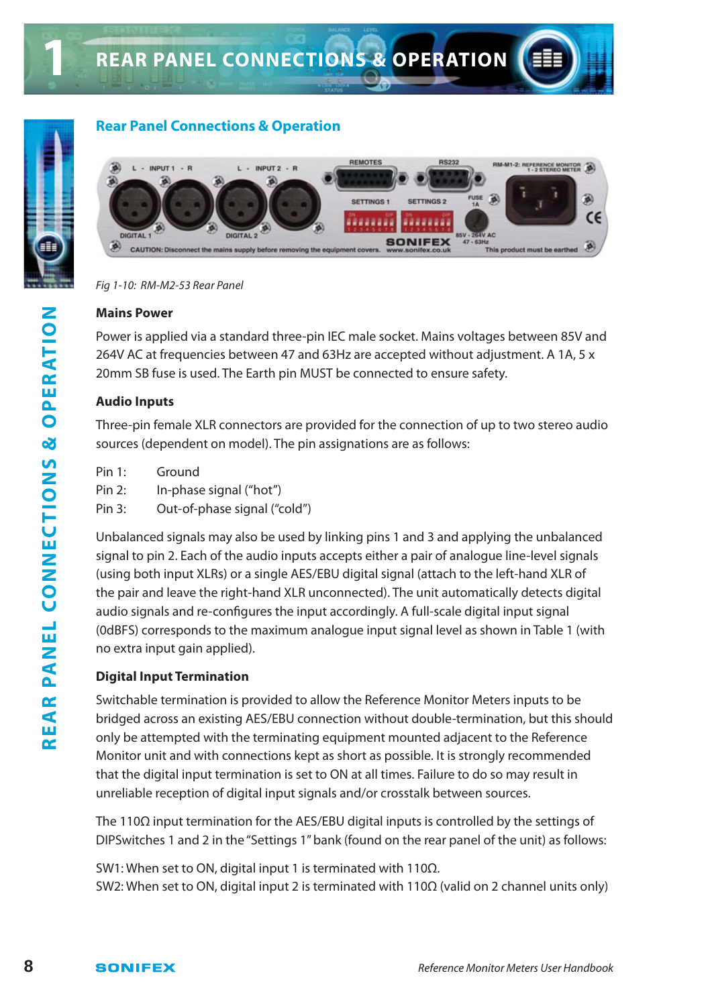

**1**

#### **Rear Panel Connections & Operation**



Fig 1-10: RM-M2-53 Rear Panel

#### **Mains Power**

Power is applied via a standard three-pin IEC male socket. Mains voltages between 85V and 264V AC at frequencies between 47 and 63Hz are accepted without adjustment. A 1A, 5 x 20mm SB fuse is used. The Earth pin MUST be connected to ensure safety.

#### **Audio Inputs**

Three-pin female XLR connectors are provided for the connection of up to two stereo audio sources (dependent on model). The pin assignations are as follows:

| Pin $1:$ | Ground                       |
|----------|------------------------------|
| Pin 2:   | In-phase signal ("hot")      |
| Pin 3:   | Out-of-phase signal ("cold") |

Unbalanced signals may also be used by linking pins 1 and 3 and applying the unbalanced signal to pin 2. Each of the audio inputs accepts either a pair of analogue line-level signals (using both input XLRs) or a single AES/EBU digital signal (attach to the left-hand XLR of the pair and leave the right-hand XLR unconnected). The unit automatically detects digital audio signals and re-configures the input accordingly. A full-scale digital input signal (0dBFS) corresponds to the maximum analogue input signal level as shown in Table 1 (with no extra input gain applied).

#### **Digital Input Termination**

Switchable termination is provided to allow the Reference Monitor Meters inputs to be bridged across an existing AES/EBU connection without double-termination, but this should only be attempted with the terminating equipment mounted adjacent to the Reference Monitor unit and with connections kept as short as possible. It is strongly recommended that the digital input termination is set to ON at all times. Failure to do so may result in unreliable reception of digital input signals and/or crosstalk between sources.

The 110Ω input termination for the AES/EBU digital inputs is controlled by the settings of DIPSwitches 1 and 2 in the "Settings 1" bank (found on the rear panel of the unit) as follows:

SW1: When set to ON, digital input 1 is terminated with 110Ω. SW2: When set to ON, digital input 2 is terminated with 110Ω (valid on 2 channel units only)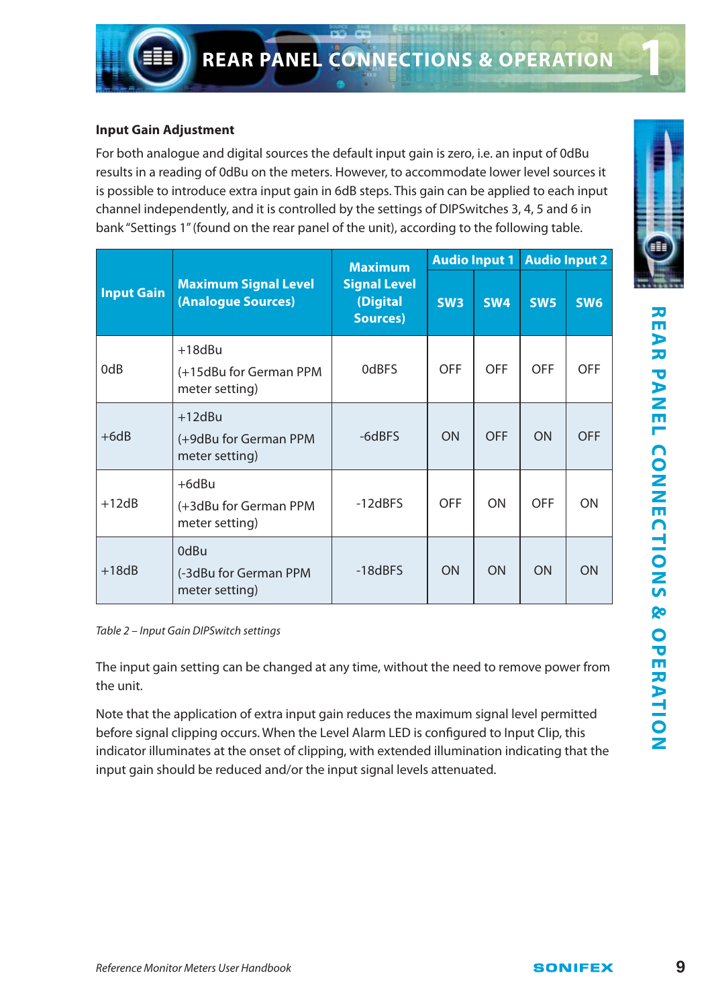#### **Input Gain Adjustment**

For both analogue and digital sources the default input gain is zero, i.e. an input of 0dBu results in a reading of 0dBu on the meters. However, to accommodate lower level sources it is possible to introduce extra input gain in 6dB steps. This gain can be applied to each input channel independently, and it is controlled by the settings of DIPSwitches 3, 4, 5 and 6 in bank "Settings 1" (found on the rear panel of the unit), according to the following table.

|                   |                                                       | <b>Maximum</b>                              | <b>Audio Input 1</b> |            | <b>Audio Input 2</b> |            |
|-------------------|-------------------------------------------------------|---------------------------------------------|----------------------|------------|----------------------|------------|
| <b>Input Gain</b> | <b>Maximum Signal Level</b><br>(Analogue Sources)     | <b>Signal Level</b><br>(Digital<br>Sources) | SW <sub>3</sub>      | <b>SW4</b> | <b>SW5</b>           | <b>SW6</b> |
| 0dB               | $+18$ dBu<br>(+15dBu for German PPM<br>meter setting) | 0dBFS                                       | OFF                  | OFF        | OFF                  | <b>OFF</b> |
| $+6dB$            | $+12dBu$<br>(+9dBu for German PPM<br>meter setting)   | -6dBFS                                      | ON                   | <b>OFF</b> | ON                   | <b>OFF</b> |
| $+12dB$           | $+6$ dBu<br>(+3dBu for German PPM<br>meter setting)   | $-12dBFS$                                   | OFF                  | ON         | OFF                  | ON         |
| $+18dB$           | 0dBu<br>(-3dBu for German PPM<br>meter setting)       | $-18dBFS$                                   | ON                   | ON         | ON                   | ON         |

Table 2 – Input Gain DIPSwitch settings

The input gain setting can be changed at any time, without the need to remove power from the unit.

Note that the application of extra input gain reduces the maximum signal level permitted before signal clipping occurs. When the Level Alarm LED is configured to Input Clip, this indicator illuminates at the onset of clipping, with extended illumination indicating that the input gain should be reduced and/or the input signal levels attenuated.

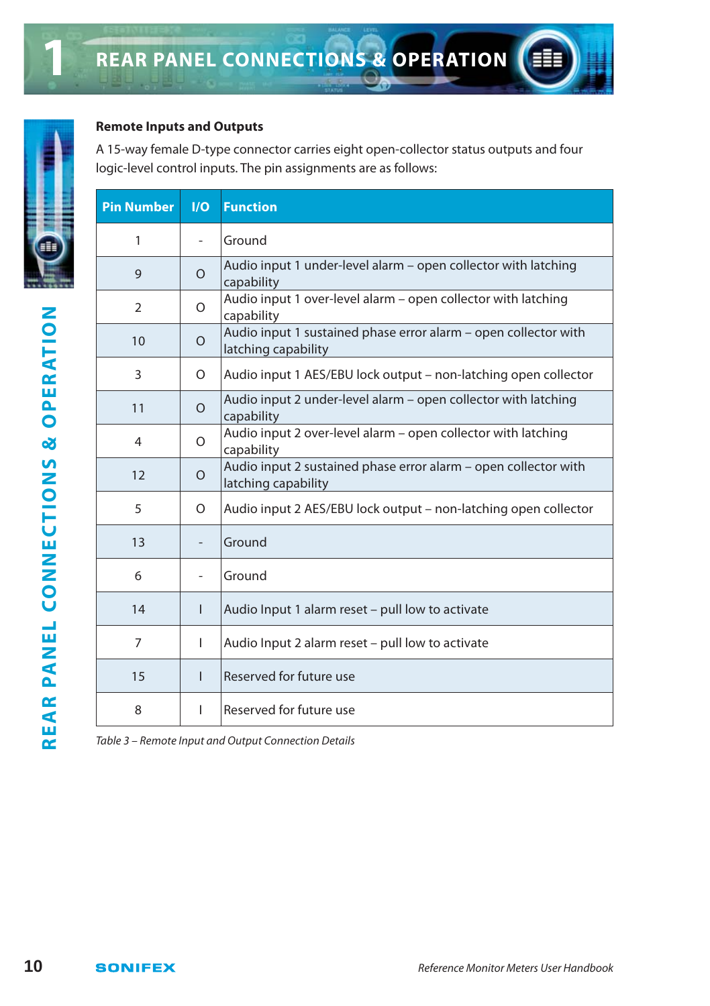#### **Remote Inputs and Outputs**

A 15-way female D-type connector carries eight open-collector status outputs and four logic-level control inputs. The pin assignments are as follows:

| <b>Pin Number</b> | I/O            | <b>Function</b>                                                                        |
|-------------------|----------------|----------------------------------------------------------------------------------------|
| 1                 | ٠              | Ground                                                                                 |
| 9                 | $\Omega$       | Audio input 1 under-level alarm - open collector with latching<br>capability           |
| 2                 | $\circ$        | Audio input 1 over-level alarm - open collector with latching<br>capability            |
| 10                | $\Omega$       | Audio input 1 sustained phase error alarm - open collector with<br>latching capability |
| 3                 | $\circ$        | Audio input 1 AES/EBU lock output - non-latching open collector                        |
| 11                | $\Omega$       | Audio input 2 under-level alarm – open collector with latching<br>capability           |
| $\overline{4}$    | $\Omega$       | Audio input 2 over-level alarm - open collector with latching<br>capability            |
| 12                | $\Omega$       | Audio input 2 sustained phase error alarm - open collector with<br>latching capability |
| 5                 | $\circ$        | Audio input 2 AES/EBU lock output - non-latching open collector                        |
| 13                |                | Ground                                                                                 |
| 6                 | $\overline{a}$ | Ground                                                                                 |
| 14                | L              | Audio Input 1 alarm reset - pull low to activate                                       |
| $\overline{7}$    | L              | Audio Input 2 alarm reset - pull low to activate                                       |
| 15                | L              | Reserved for future use                                                                |
| 8                 | L              | Reserved for future use                                                                |

Table 3 – Remote Input and Output Connection Details



**1**

€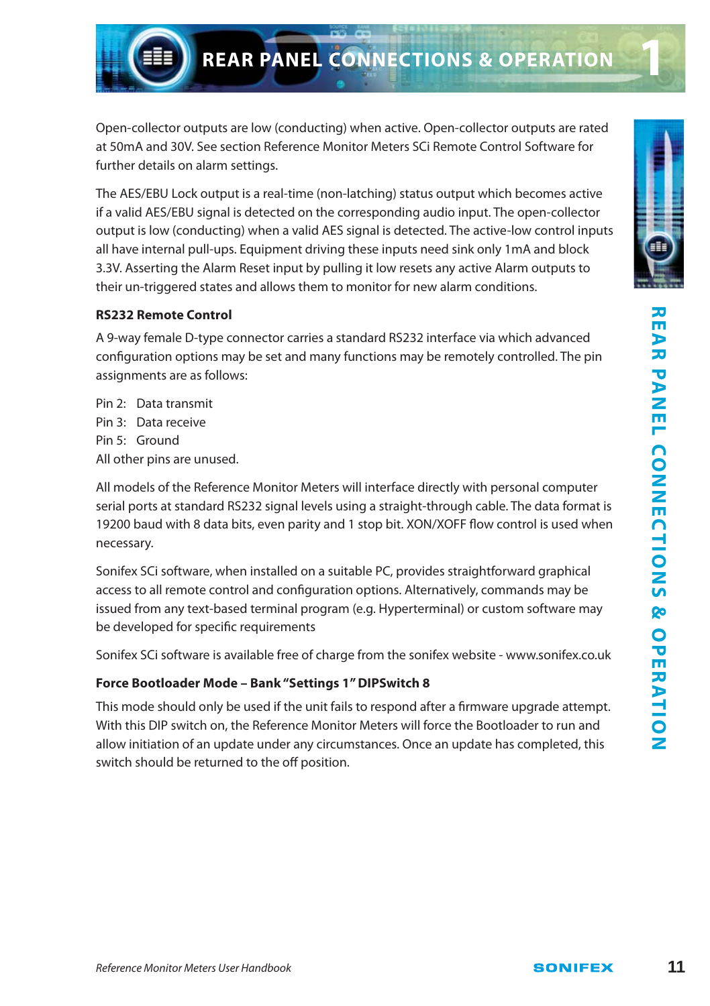Open-collector outputs are low (conducting) when active. Open-collector outputs are rated at 50mA and 30V. See section Reference Monitor Meters SCi Remote Control Software for further details on alarm settings.

The AES/EBU Lock output is a real-time (non-latching) status output which becomes active if a valid AES/EBU signal is detected on the corresponding audio input. The open-collector output is low (conducting) when a valid AES signal is detected. The active-low control inputs all have internal pull-ups. Equipment driving these inputs need sink only 1mA and block 3.3V. Asserting the Alarm Reset input by pulling it low resets any active Alarm outputs to their un-triggered states and allows them to monitor for new alarm conditions.

#### **RS232 Remote Control**

A 9-way female D-type connector carries a standard RS232 interface via which advanced configuration options may be set and many functions may be remotely controlled. The pin assignments are as follows:

Pin 2: Data transmit Pin 3: Data receive Pin 5: Ground All other pins are unused.

All models of the Reference Monitor Meters will interface directly with personal computer serial ports at standard RS232 signal levels using a straight-through cable. The data format is 19200 baud with 8 data bits, even parity and 1 stop bit. XON/XOFF flow control is used when necessary.

Sonifex SCi software, when installed on a suitable PC, provides straightforward graphical access to all remote control and configuration options. Alternatively, commands may be issued from any text-based terminal program (e.g. Hyperterminal) or custom software may be developed for specific requirements

Sonifex SCi software is available free of charge from the sonifex website - www.sonifex.co.uk

#### **Force Bootloader Mode – Bank "Settings 1" DIPSwitch 8**

This mode should only be used if the unit fails to respond after a firmware upgrade attempt. With this DIP switch on, the Reference Monitor Meters will force the Bootloader to run and allow initiation of an update under any circumstances. Once an update has completed, this switch should be returned to the off position.

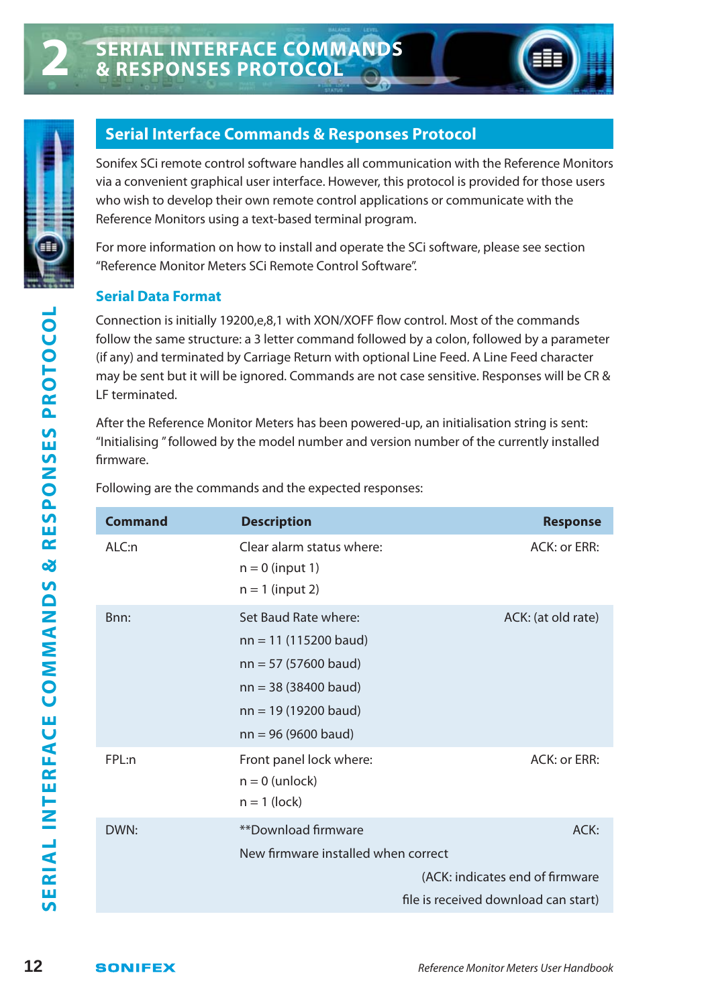



**2**

## **Serial Interface Commands & Responses Protocol**

Sonifex SCi remote control software handles all communication with the Reference Monitors via a convenient graphical user interface. However, this protocol is provided for those users who wish to develop their own remote control applications or communicate with the Reference Monitors using a text-based terminal program.

For more information on how to install and operate the SCi software, please see section "Reference Monitor Meters SCi Remote Control Software".

#### **Serial Data Format**

Connection is initially 19200,e,8,1 with XON/XOFF flow control. Most of the commands follow the same structure: a 3 letter command followed by a colon, followed by a parameter (if any) and terminated by Carriage Return with optional Line Feed. A Line Feed character may be sent but it will be ignored. Commands are not case sensitive. Responses will be CR & LF terminated.

After the Reference Monitor Meters has been powered-up, an initialisation string is sent: "Initialising " followed by the model number and version number of the currently installed firmware.

**12** Connection is initially 19200e,8,1 with XON/XOFF flow control. Most of the commands (f(any) and terminated by carrier commands onlocolous by a constantive Responses will be CR & The terminated.<br> **12** Exertion the se **Command Description Description Response** ALC:n Clear alarm status where: ACK: or ERR:  $n = 0$  (input 1)  $n = 1$  (input 2) Bnn: Set Baud Rate where: ACK: (at old rate) nn = 11 (115200 baud) nn = 57 (57600 baud) nn = 38 (38400 baud) nn = 19 (19200 baud) nn = 96 (9600 baud) FPL:n Front panel lock where: ACK: or ERR:  $n = 0$  (unlock)  $n = 1$  (lock) DWN: \*\*\*Download firmware ACK: New firmware installed when correct (ACK: indicates end of firmware file is received download can start)

Following are the commands and the expected responses: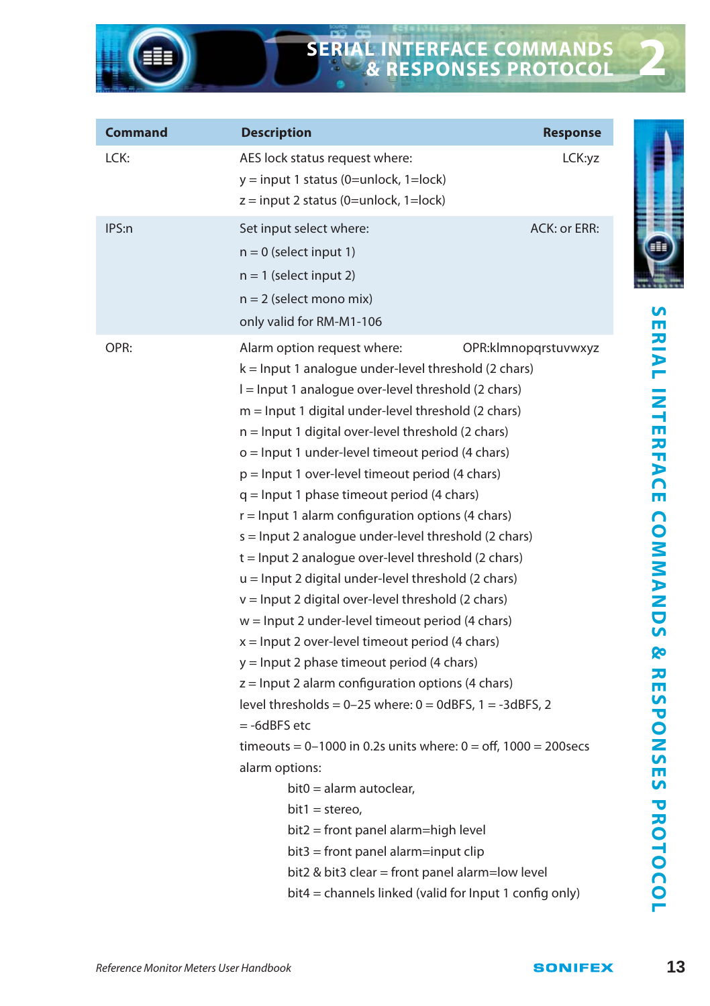# **SERIAL INTERFACE COMMANDS & RESPONSES PROTOCOL**

| <b>Command</b> | <b>Description</b>                                                                                                                                                                                                                                                                                                                                                                                                                                                                                                                                                                                                                                                                                                                                                                                                                                                                                                                                                                                                                                                                                                                                                                                                                                                                                | <b>Response</b>        |
|----------------|---------------------------------------------------------------------------------------------------------------------------------------------------------------------------------------------------------------------------------------------------------------------------------------------------------------------------------------------------------------------------------------------------------------------------------------------------------------------------------------------------------------------------------------------------------------------------------------------------------------------------------------------------------------------------------------------------------------------------------------------------------------------------------------------------------------------------------------------------------------------------------------------------------------------------------------------------------------------------------------------------------------------------------------------------------------------------------------------------------------------------------------------------------------------------------------------------------------------------------------------------------------------------------------------------|------------------------|
| LCK:           | AES lock status request where:<br>y = input 1 status (0=unlock, 1=lock)<br>$z = input 2 status (0=unlock, 1=lock)$                                                                                                                                                                                                                                                                                                                                                                                                                                                                                                                                                                                                                                                                                                                                                                                                                                                                                                                                                                                                                                                                                                                                                                                | LCK:yz                 |
| IPS:n          | Set input select where:<br>$n = 0$ (select input 1)<br>$n = 1$ (select input 2)<br>$n = 2$ (select mono mix)<br>only valid for RM-M1-106                                                                                                                                                                                                                                                                                                                                                                                                                                                                                                                                                                                                                                                                                                                                                                                                                                                                                                                                                                                                                                                                                                                                                          | ACK: or ERR:           |
| OPR:           | Alarm option request where:<br>$k =$ Input 1 analogue under-level threshold (2 chars)<br>I = Input 1 analogue over-level threshold (2 chars)<br>$m =$ Input 1 digital under-level threshold (2 chars)<br>$n =$ Input 1 digital over-level threshold (2 chars)<br>$o =$ Input 1 under-level timeout period (4 chars)<br>p = lnput 1 over-level timeout period (4 chars)<br>$q =$ Input 1 phase timeout period (4 chars)<br>$r =$ Input 1 alarm configuration options (4 chars)<br>s = Input 2 analogue under-level threshold (2 chars)<br>$t =$ Input 2 analogue over-level threshold (2 chars)<br>$u =$ Input 2 digital under-level threshold (2 chars)<br>v = Input 2 digital over-level threshold (2 chars)<br>$w =$ Input 2 under-level timeout period (4 chars)<br>$x =$ Input 2 over-level timeout period (4 chars)<br>$y =$ Input 2 phase timeout period (4 chars)<br>$z =$ Input 2 alarm configuration options (4 chars)<br>level thresholds = $0-25$ where: $0 = 0$ dBFS, $1 = -3$ dBFS, 2<br>$= -6dBFS$ etc<br>timeouts = $0-1000$ in 0.2s units where: $0 =$ off, 1000 = 200secs<br>alarm options:<br>$bit0 =$ alarm autoclear.<br>$bit1 = stereo$ ,<br>bit2 = front panel alarm=high level<br>$bit3 = front$ panel alarm=input clip<br>bit2 & bit3 clear = front panel alarm=low level | OPR: klmnop grstuvwxyz |
|                | bit4 = channels linked (valid for Input 1 config only)                                                                                                                                                                                                                                                                                                                                                                                                                                                                                                                                                                                                                                                                                                                                                                                                                                                                                                                                                                                                                                                                                                                                                                                                                                            |                        |



**2**

SERIAL INTERFACE COMMANDS & RESPONSES PROTOCOL **SERIAL INTERFACE COMMANDS & RESPONSES PROTOCOL**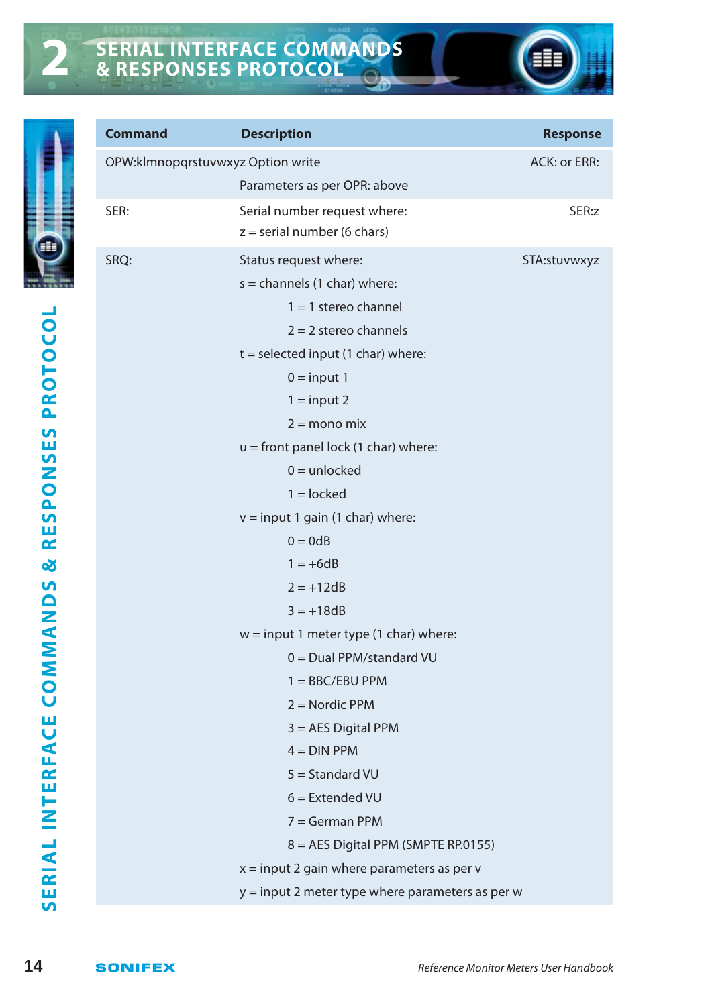

| Command                           | <b>Description</b>                               | Response     |
|-----------------------------------|--------------------------------------------------|--------------|
| OPW:klmnopqrstuvwxyz Option write |                                                  | ACK: or ERR: |
|                                   | Parameters as per OPR: above                     |              |
| SER:                              | Serial number request where:                     | SER:z        |
|                                   | $z =$ serial number (6 chars)                    |              |
| SRQ:                              | Status request where:                            | STA:stuvwxyz |
|                                   | $s =$ channels (1 char) where:                   |              |
|                                   | $1 = 1$ stereo channel                           |              |
|                                   | $2 = 2$ stereo channels                          |              |
|                                   | $t = selected input (1 char) where:$             |              |
|                                   | $0 = input 1$                                    |              |
|                                   | $1 = input 2$                                    |              |
|                                   | $2 = \text{mono mix}$                            |              |
|                                   | $u =$ front panel lock (1 char) where:           |              |
|                                   | $0 =$ unlocked                                   |              |
|                                   | $1 =$ locked                                     |              |
|                                   | $v = input 1 gain (1 char) where:$               |              |
|                                   | $0 = 0dB$                                        |              |
|                                   | $1 = +6dB$                                       |              |
|                                   | $2 = +12dB$                                      |              |
|                                   | $3 = +18dB$                                      |              |
|                                   | $w = input 1$ meter type (1 char) where:         |              |
|                                   | $0 =$ Dual PPM/standard VU                       |              |
|                                   | $1 = BBC/EBU$ PPM                                |              |
|                                   | $2 =$ Nordic PPM                                 |              |
|                                   | $3 = AES$ Digital PPM                            |              |
|                                   | $4 =$ DIN PPM                                    |              |
|                                   | $5 =$ Standard VU                                |              |
|                                   | $6$ = Extended VU                                |              |
|                                   | $7 = German PPM$                                 |              |
|                                   | 8 = AES Digital PPM (SMPTE RP.0155)              |              |
|                                   | $x = input 2 gain where parameters as per v$     |              |
|                                   | y = input 2 meter type where parameters as per w |              |
|                                   |                                                  |              |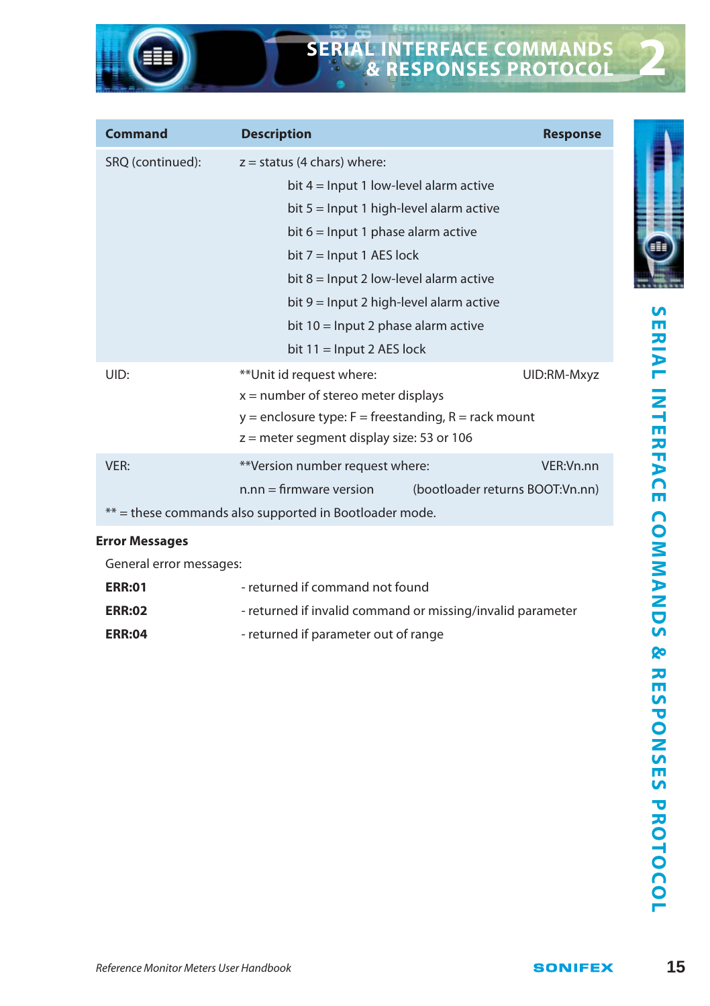# **SERIAL INTERFACE COMMANDS & RESPONSES PROTOCOL**

| Command               | <b>Description</b>                                           | <b>Response</b> |
|-----------------------|--------------------------------------------------------------|-----------------|
| SRQ (continued):      | $z =$ status (4 chars) where:                                |                 |
|                       | bit $4 =$ Input 1 low-level alarm active                     |                 |
|                       | bit $5 =$ Input 1 high-level alarm active                    |                 |
|                       | bit $6 =$ Input 1 phase alarm active                         |                 |
|                       | bit $7 =$ Input 1 AES lock                                   |                 |
|                       | bit $8 =$ Input 2 low-level alarm active                     |                 |
|                       | bit $9 =$ Input 2 high-level alarm active                    |                 |
|                       | bit $10 =$ Input 2 phase alarm active                        |                 |
|                       | bit $11 =$ Input 2 AES lock                                  |                 |
| UID:                  | **Unit id request where:                                     | UID:RM-Mxyz     |
|                       | $x =$ number of stereo meter displays                        |                 |
|                       | $y =$ enclosure type: $F =$ freestanding, $R =$ rack mount   |                 |
|                       | $z =$ meter segment display size: 53 or 106                  |                 |
| VER:                  | **Version number request where:                              | VFR:Vn.nn       |
|                       | $n.nn = firmware version$<br>(bootloader returns BOOT:Vn.nn) |                 |
|                       | ** = these commands also supported in Bootloader mode.       |                 |
| <b>Error Messages</b> |                                                              |                 |

General error messages:

| <b>ERR:01</b> | - returned if command not found                            |
|---------------|------------------------------------------------------------|
| <b>ERR:02</b> | - returned if invalid command or missing/invalid parameter |
| <b>ERR:04</b> | - returned if parameter out of range                       |

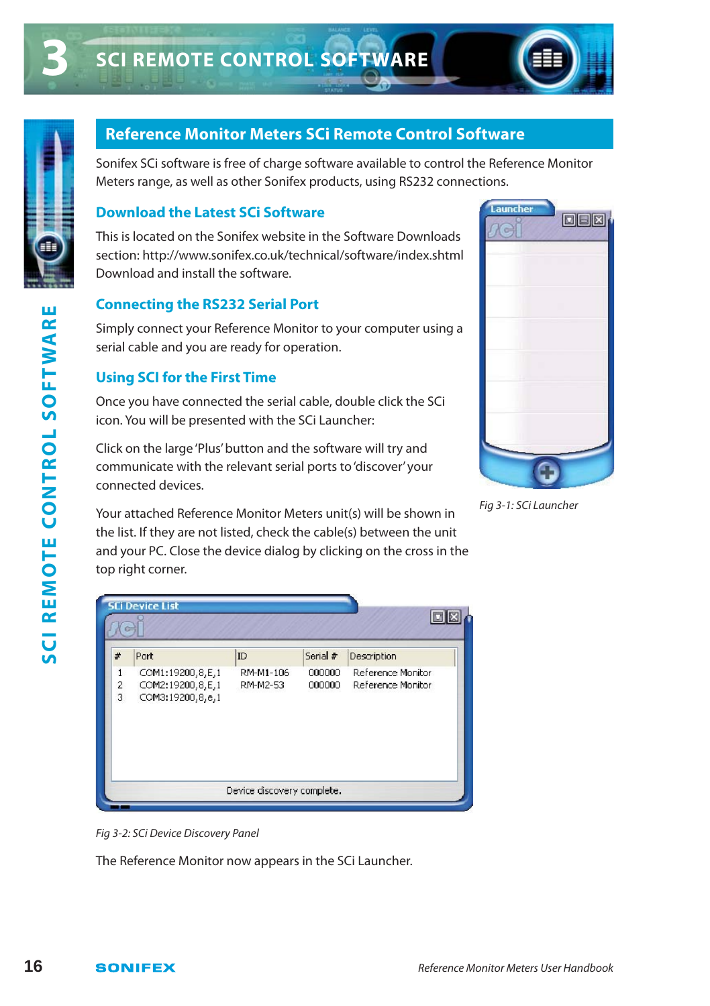



## **Reference Monitor Meters SCi Remote Control Software**

Sonifex SCi software is free of charge software available to control the Reference Monitor Meters range, as well as other Sonifex products, using RS232 connections.

#### **Download the Latest SCi Software**

This is located on the Sonifex website in the Software Downloads section: http://www.sonifex.co.uk/technical/software/index.shtml Download and install the software.

#### **Connecting the RS232 Serial Port**

#### **Using SCI for the First Time**



Fig 3-1: SCi Launcher

| SCI REMOTE CONTROL SOFTWARE | Simply connect your Reference Monitor to your computer using a<br>serial cable and you are ready for operation.<br><b>Using SCI for the First Time</b><br>Once you have connected the serial cable, double click the SCi<br>icon. You will be presented with the SCi Launcher:<br>Click on the large 'Plus' button and the software will try and<br>communicate with the relevant serial ports to 'discover' your<br>connected devices.<br>Your attached Reference Monitor Meters unit(s) will be shown in<br>the list. If they are not listed, check the cable(s) between the unit | Fig 3-1: SCi Launcher                  |
|-----------------------------|-------------------------------------------------------------------------------------------------------------------------------------------------------------------------------------------------------------------------------------------------------------------------------------------------------------------------------------------------------------------------------------------------------------------------------------------------------------------------------------------------------------------------------------------------------------------------------------|----------------------------------------|
|                             | and your PC. Close the device dialog by clicking on the cross in the<br>top right corner.<br><b>SCi Device List</b><br>$\Box$<br>ID<br>Serial #<br>Description<br>#<br>Port<br>COM1:19200,8,E,1<br>RM-M1-106<br>000000<br>Reference Monitor<br>1<br>COM2:19200,8,E,1<br>Reference Monitor<br>2<br>RM-M2-53<br>000000<br>3<br>COM3:19200,8,e,1                                                                                                                                                                                                                                       |                                        |
|                             | Device discovery complete.                                                                                                                                                                                                                                                                                                                                                                                                                                                                                                                                                          |                                        |
|                             | Fig 3-2: SCi Device Discovery Panel<br>The Reference Monitor now appears in the SCi Launcher.                                                                                                                                                                                                                                                                                                                                                                                                                                                                                       |                                        |
| 16                          | <b>SONIFEX</b>                                                                                                                                                                                                                                                                                                                                                                                                                                                                                                                                                                      | Reference Monitor Meters User Handbook |

Fig 3-2: SCi Device Discovery Panel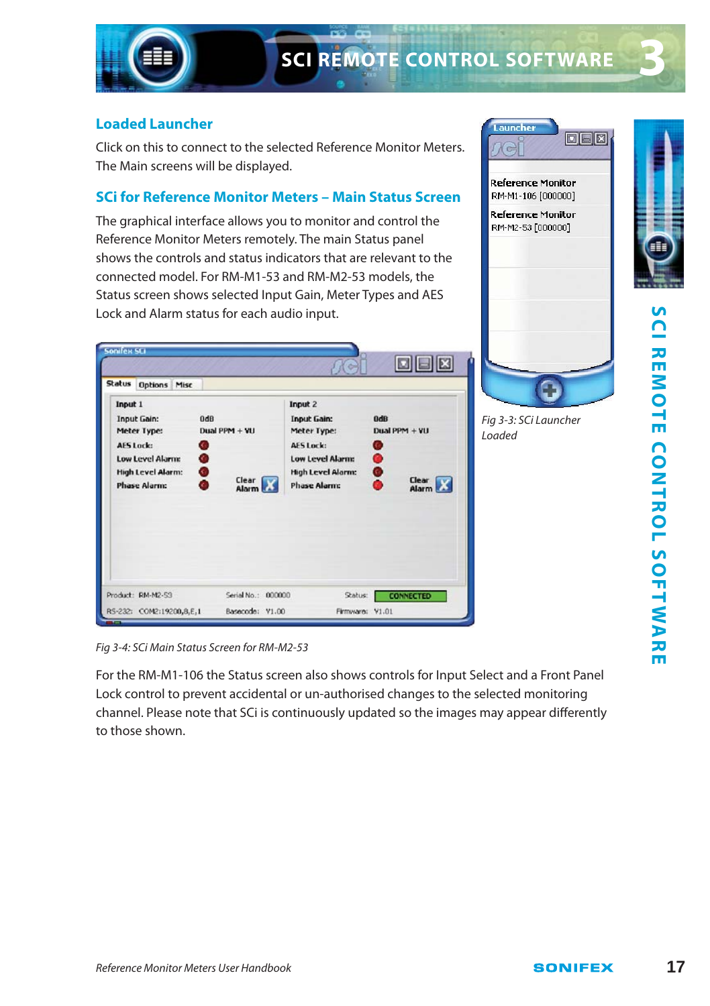

#### **Loaded Launcher**

Click on this to connect to the selected Reference Monitor Meters. The Main screens will be displayed.

#### **SCi for Reference Monitor Meters – Main Status Screen**

The graphical interface allows you to monitor and control the Reference Monitor Meters remotely. The main Status panel shows the controls and status indicators that are relevant to the connected model. For RM-M1-53 and RM-M2-53 models, the Status screen shows selected Input Gain, Meter Types and AES Lock and Alarm status for each audio input.

Fig 3-4: SCi Main Status Screen for RM-M2-53

For the RM-M1-106 the Status screen also shows controls for Input Select and a Front Panel Lock control to prevent accidental or un-authorised changes to the selected monitoring channel. Please note that SCi is continuously updated so the images may appear differently to those shown.

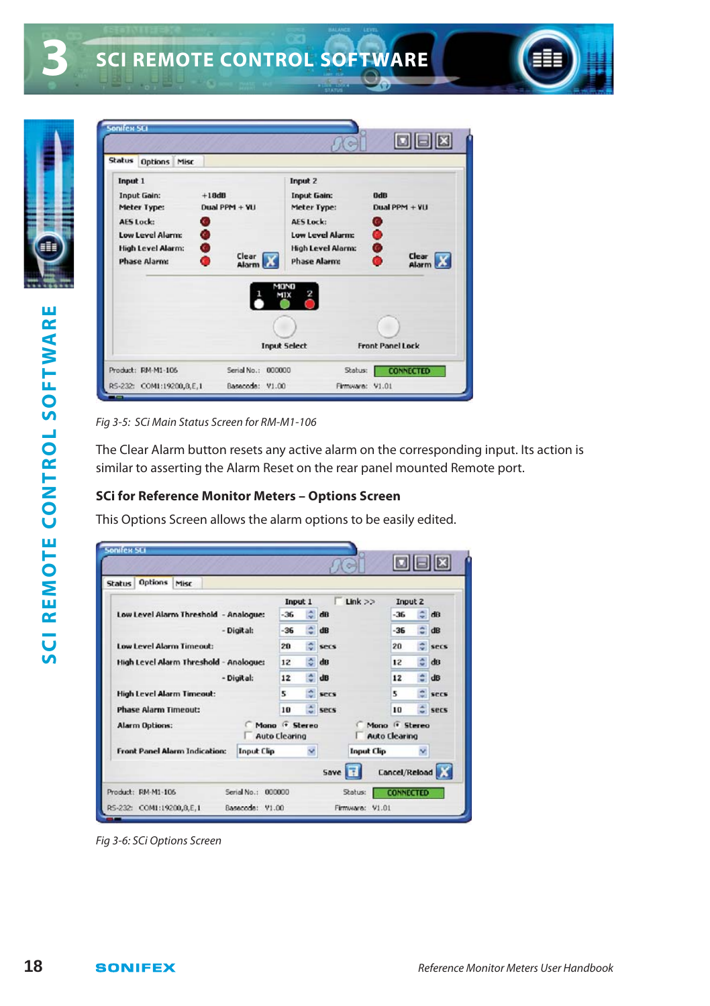

| Status Options Misc                                                                                                                          |                                            |                                                                                                                                                                    |                                                           |
|----------------------------------------------------------------------------------------------------------------------------------------------|--------------------------------------------|--------------------------------------------------------------------------------------------------------------------------------------------------------------------|-----------------------------------------------------------|
| Input 1<br>Input Gain:<br>Meter Type:<br>AES Lock:<br>C.<br>$\bullet$<br>Low Level Alarm:<br><b>High Level Alarm:</b><br><b>Phase Alarm:</b> | $+18dB$<br>Dual PPM + VU<br>Clear<br>Alarm | Input 2<br><b>Input Gain:</b><br>Meter Type:<br><b>AES Lock:</b><br><b>Low Level Alarm:</b><br><b>High Level Alarm:</b><br><b>Phase Alarm:</b><br>MOND<br>2<br>MIX | OdB<br>Dual PPM + VU<br>C.<br>$\bullet$<br>Clear<br>Alarm |
|                                                                                                                                              |                                            | <b>Input Select</b>                                                                                                                                                | <b>Front Panel Lock</b>                                   |

Fig 3-5: SCi Main Status Screen for RM-M1-106

The Clear Alarm button resets any active alarm on the corresponding input. Its action is similar to asserting the Alarm Reset on the rear panel mounted Remote port.

#### **SCi for Reference Monitor Meters – Options Screen**

This Options Screen allows the alarm options to be easily edited.

| <b>Status</b>                          | <b>Options</b>                       | Misc |       |                   |                                       |      |       |                   |                                                    |      |            |
|----------------------------------------|--------------------------------------|------|-------|-------------------|---------------------------------------|------|-------|-------------------|----------------------------------------------------|------|------------|
|                                        |                                      |      |       |                   | Input 1                               |      |       | Link              | Input 2                                            |      |            |
| Low Level Alarm Threshold - Analogue:  |                                      |      | $-36$ |                   | dR                                    |      | $-36$ |                   | dB                                                 |      |            |
| - Digital:                             |                                      |      | $-36$ | ۵                 | dB                                    |      | $-36$ |                   | <b>dB</b>                                          |      |            |
| Low Level Alarm Timeout:               |                                      |      |       | 20                | ۰                                     | secs |       | 20                |                                                    | secs |            |
| High Level Alarm Threshold - Analogue: |                                      |      | 12    | ÷.                | dB                                    |      | 12    | e                 | dB                                                 |      |            |
|                                        |                                      |      |       | - Digital:        | 12                                    | ۵    | dB    |                   | 12                                                 |      | d <b>B</b> |
| <b>High Level Alarm Timeout:</b>       |                                      |      | s     |                   | secs                                  |      | 5     |                   | SPES                                               |      |            |
| <b>Phase Alarm Timeout:</b>            |                                      |      | 10    |                   | secs                                  |      | 10    |                   | secs                                               |      |            |
|                                        | <b>Alarm Options:</b>                |      |       |                   | Mana + Stereo<br><b>Auto Clearing</b> |      |       |                   | Mono <sup>(*</sup> Stereo)<br><b>Auto Clearing</b> |      |            |
|                                        | <b>Front Panel Alarm Indication:</b> |      |       | <b>Input Clip</b> |                                       | v    |       | <b>Input Clip</b> |                                                    | ×    |            |
|                                        |                                      |      |       |                   |                                       |      | Save  |                   | Cancel/Reload                                      |      |            |

Fig 3-6: SCi Options Screen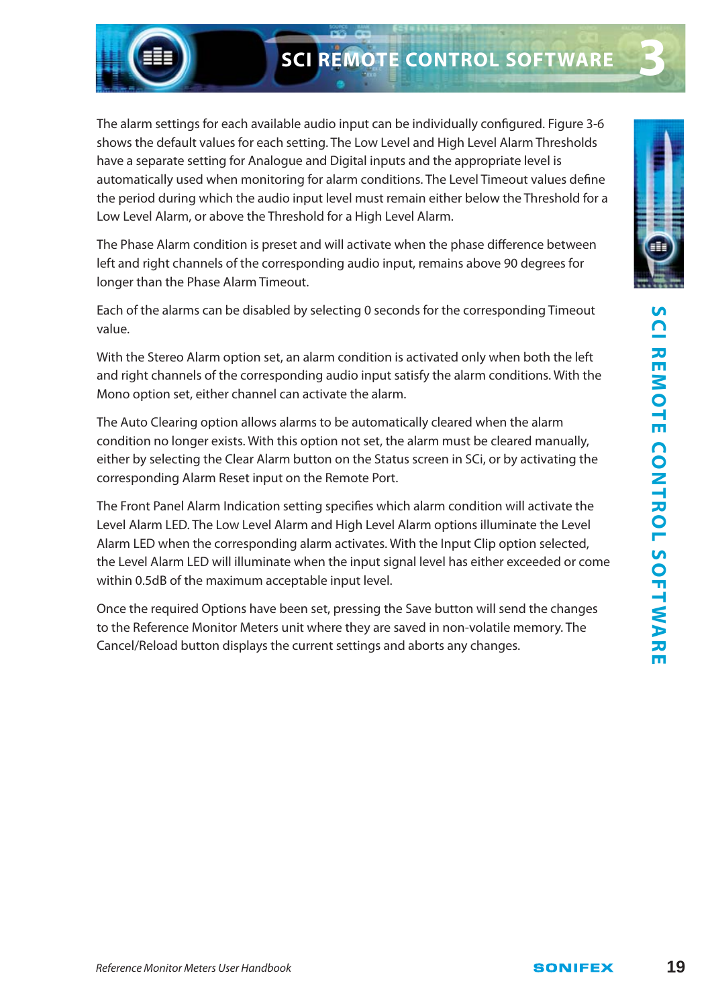# **SCI REMOTE CONTROL SOFTWARE**

The alarm settings for each available audio input can be individually configured. Figure 3-6 shows the default values for each setting. The Low Level and High Level Alarm Thresholds have a separate setting for Analogue and Digital inputs and the appropriate level is automatically used when monitoring for alarm conditions. The Level Timeout values define the period during which the audio input level must remain either below the Threshold for a Low Level Alarm, or above the Threshold for a High Level Alarm.

The Phase Alarm condition is preset and will activate when the phase difference between left and right channels of the corresponding audio input, remains above 90 degrees for longer than the Phase Alarm Timeout.

Each of the alarms can be disabled by selecting 0 seconds for the corresponding Timeout value.

With the Stereo Alarm option set, an alarm condition is activated only when both the left and right channels of the corresponding audio input satisfy the alarm conditions. With the Mono option set, either channel can activate the alarm.

The Auto Clearing option allows alarms to be automatically cleared when the alarm condition no longer exists. With this option not set, the alarm must be cleared manually, either by selecting the Clear Alarm button on the Status screen in SCi, or by activating the corresponding Alarm Reset input on the Remote Port.

The Front Panel Alarm Indication setting specifies which alarm condition will activate the Level Alarm LED. The Low Level Alarm and High Level Alarm options illuminate the Level Alarm LED when the corresponding alarm activates. With the Input Clip option selected, the Level Alarm LED will illuminate when the input signal level has either exceeded or come within 0.5dB of the maximum acceptable input level.

Once the required Options have been set, pressing the Save button will send the changes to the Reference Monitor Meters unit where they are saved in non-volatile memory. The Cancel/Reload button displays the current settings and aborts any changes.

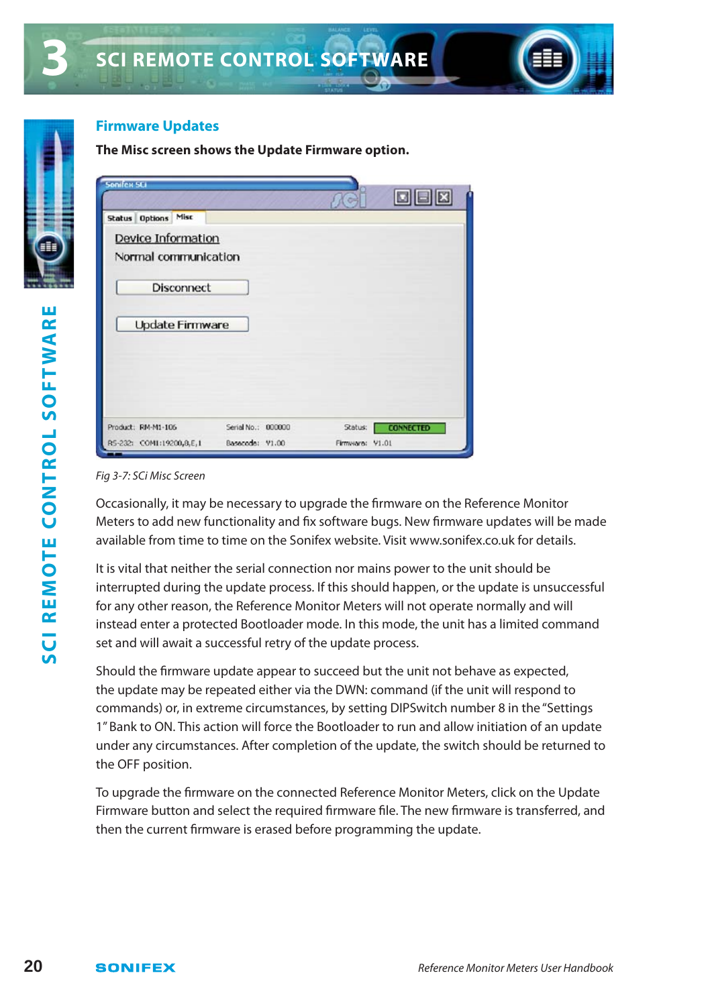

#### **Firmware Updates**

#### **The Misc screen shows the Update Firmware option.**

| onifex SCI                 |                    |                 | $\Box$ $\Box$ $\boxtimes$ |
|----------------------------|--------------------|-----------------|---------------------------|
| <b>Status Options Misc</b> |                    |                 |                           |
| Device Information         |                    |                 |                           |
| Normal communication       |                    |                 |                           |
|                            |                    |                 |                           |
| <b>Disconnect</b>          |                    |                 |                           |
|                            |                    |                 |                           |
| <b>Update Firmware</b>     |                    |                 |                           |
|                            |                    |                 |                           |
|                            |                    |                 |                           |
|                            |                    |                 |                           |
|                            |                    |                 |                           |
| Product: RM-M1-106         | Serial No.: 000000 | Status:         | <b>CONNECTED</b>          |
| RS-232: COM1:19200,8,E,1   | Basecode: V1.00    | Firmware: V1.01 |                           |

#### Fig 3-7: SCi Misc Screen

Occasionally, it may be necessary to upgrade the firmware on the Reference Monitor Meters to add new functionality and fix software bugs. New firmware updates will be made available from time to time on the Sonifex website. Visit www.sonifex.co.uk for details.

It is vital that neither the serial connection nor mains power to the unit should be interrupted during the update process. If this should happen, or the update is unsuccessful for any other reason, the Reference Monitor Meters will not operate normally and will instead enter a protected Bootloader mode. In this mode, the unit has a limited command set and will await a successful retry of the update process.

Should the firmware update appear to succeed but the unit not behave as expected, the update may be repeated either via the DWN: command (if the unit will respond to commands) or, in extreme circumstances, by setting DIPSwitch number 8 in the "Settings 1" Bank to ON. This action will force the Bootloader to run and allow initiation of an update under any circumstances. After completion of the update, the switch should be returned to the OFF position.

To upgrade the firmware on the connected Reference Monitor Meters, click on the Update Firmware button and select the required firmware file. The new firmware is transferred, and then the current firmware is erased before programming the update.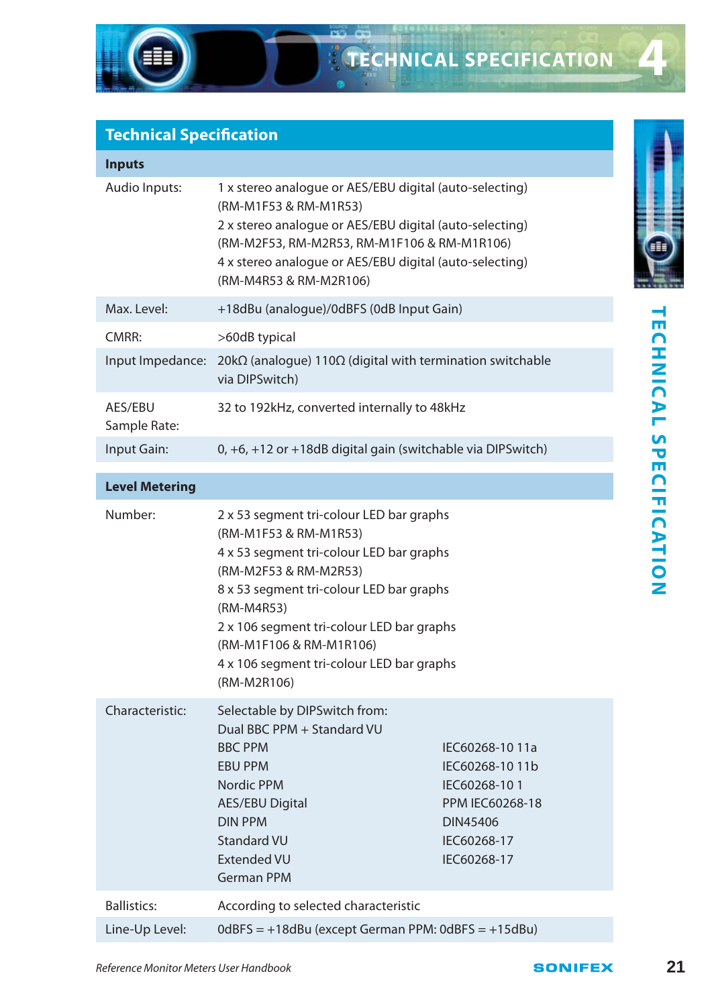## **Technical Specification**

| <b>Inputs</b>           |                                                                                                                                                                                                                                                                                 |
|-------------------------|---------------------------------------------------------------------------------------------------------------------------------------------------------------------------------------------------------------------------------------------------------------------------------|
| Audio Inputs:           | 1 x stereo analogue or AES/EBU digital (auto-selecting)<br>(RM-M1F53 & RM-M1R53)<br>2 x stereo analogue or AES/EBU digital (auto-selecting)<br>(RM-M2F53, RM-M2R53, RM-M1F106 & RM-M1R106)<br>4 x stereo analogue or AES/EBU digital (auto-selecting)<br>(RM-M4R53 & RM-M2R106) |
| Max. Level:             | +18dBu (analogue)/0dBFS (0dB Input Gain)                                                                                                                                                                                                                                        |
| CMRR:                   | >60dB typical                                                                                                                                                                                                                                                                   |
| Input Impedance:        | 20k $\Omega$ (analogue) 110 $\Omega$ (digital with termination switchable<br>via DIPSwitch)                                                                                                                                                                                     |
| AES/EBU<br>Sample Rate: | 32 to 192kHz, converted internally to 48kHz                                                                                                                                                                                                                                     |
| Input Gain:             | $0, +6, +12$ or $+18$ dB digital gain (switchable via DIPS witch)                                                                                                                                                                                                               |

#### **Level Metering**

| Max. Level:                            | +T8dBu (analogue)/0dBFS (0dB input Gain)                                                                                                                                                                                                                                                                                             |                                                                                                                             |                | -                            |
|----------------------------------------|--------------------------------------------------------------------------------------------------------------------------------------------------------------------------------------------------------------------------------------------------------------------------------------------------------------------------------------|-----------------------------------------------------------------------------------------------------------------------------|----------------|------------------------------|
| CMRR:                                  | >60dB typical                                                                                                                                                                                                                                                                                                                        |                                                                                                                             |                | ш                            |
|                                        | Input Impedance: $20k\Omega$ (analogue) 110 $\Omega$ (digital with termination switchable<br>via DIPSwitch)                                                                                                                                                                                                                          |                                                                                                                             |                |                              |
| AES/EBU<br>Sample Rate:                | 32 to 192kHz, converted internally to 48kHz                                                                                                                                                                                                                                                                                          |                                                                                                                             |                |                              |
| Input Gain:                            | 0, +6, +12 or +18dB digital gain (switchable via DIPSwitch)                                                                                                                                                                                                                                                                          |                                                                                                                             |                |                              |
| <b>Level Metering</b>                  |                                                                                                                                                                                                                                                                                                                                      |                                                                                                                             |                |                              |
| Number:                                | 2 x 53 segment tri-colour LED bar graphs<br>(RM-M1F53 & RM-M1R53)<br>4 x 53 segment tri-colour LED bar graphs<br>(RM-M2F53 & RM-M2R53)<br>8 x 53 segment tri-colour LED bar graphs<br>(RM-M4R53)<br>2 x 106 segment tri-colour LED bar graphs<br>(RM-M1F106 & RM-M1R106)<br>4 x 106 segment tri-colour LED bar graphs<br>(RM-M2R106) |                                                                                                                             |                | <b>CHNICAL SPECIFICATION</b> |
| Characteristic:                        | Selectable by DIPSwitch from:<br>Dual BBC PPM + Standard VU<br><b>BBC PPM</b><br><b>EBU PPM</b><br>Nordic PPM<br><b>AES/EBU Digital</b><br><b>DIN PPM</b><br><b>Standard VU</b><br><b>Extended VU</b><br><b>German PPM</b>                                                                                                           | IEC60268-1011a<br>IEC60268-1011b<br>IEC60268-101<br><b>PPM IEC60268-18</b><br><b>DIN45406</b><br>IEC60268-17<br>IEC60268-17 |                |                              |
| <b>Ballistics:</b>                     | According to selected characteristic                                                                                                                                                                                                                                                                                                 |                                                                                                                             |                |                              |
| Line-Up Level:                         | $0$ dBFS = $+18$ dBu (except German PPM: 0dBFS = $+15$ dBu)                                                                                                                                                                                                                                                                          |                                                                                                                             |                |                              |
| Reference Monitor Meters User Handbook |                                                                                                                                                                                                                                                                                                                                      |                                                                                                                             | <b>SONIFEX</b> | 21                           |

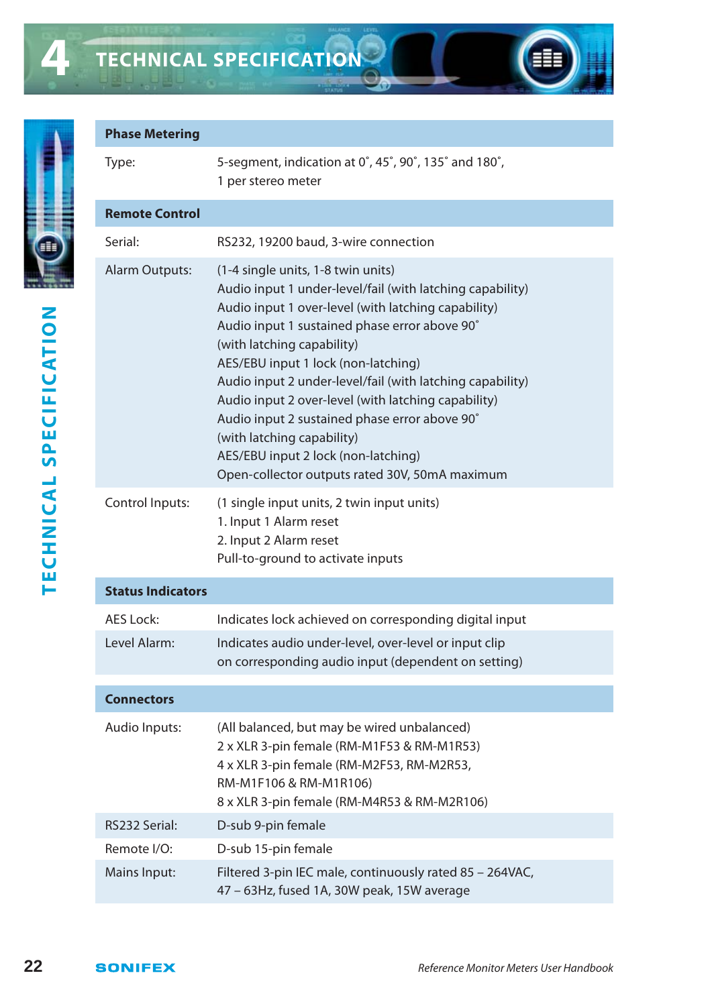

**4**

# TECHNICAL SPECIFICATION **TECHNICAL SPECIFICATION**

| <b>Phase Metering</b>    |                                                                                                                                                                                                                                                                                                                                                                                                                                                                                                                                                                          |
|--------------------------|--------------------------------------------------------------------------------------------------------------------------------------------------------------------------------------------------------------------------------------------------------------------------------------------------------------------------------------------------------------------------------------------------------------------------------------------------------------------------------------------------------------------------------------------------------------------------|
| Type:                    | 5-segment, indication at 0°, 45°, 90°, 135° and 180°,<br>1 per stereo meter                                                                                                                                                                                                                                                                                                                                                                                                                                                                                              |
| <b>Remote Control</b>    |                                                                                                                                                                                                                                                                                                                                                                                                                                                                                                                                                                          |
| Serial:                  | RS232, 19200 baud, 3-wire connection                                                                                                                                                                                                                                                                                                                                                                                                                                                                                                                                     |
| Alarm Outputs:           | (1-4 single units, 1-8 twin units)<br>Audio input 1 under-level/fail (with latching capability)<br>Audio input 1 over-level (with latching capability)<br>Audio input 1 sustained phase error above 90°<br>(with latching capability)<br>AES/EBU input 1 lock (non-latching)<br>Audio input 2 under-level/fail (with latching capability)<br>Audio input 2 over-level (with latching capability)<br>Audio input 2 sustained phase error above 90°<br>(with latching capability)<br>AES/EBU input 2 lock (non-latching)<br>Open-collector outputs rated 30V, 50mA maximum |
| Control Inputs:          | (1 single input units, 2 twin input units)<br>1. Input 1 Alarm reset<br>2. Input 2 Alarm reset<br>Pull-to-ground to activate inputs                                                                                                                                                                                                                                                                                                                                                                                                                                      |
| <b>Status Indicators</b> |                                                                                                                                                                                                                                                                                                                                                                                                                                                                                                                                                                          |
| AES Lock:                | Indicates lock achieved on corresponding digital input                                                                                                                                                                                                                                                                                                                                                                                                                                                                                                                   |
| Level Alarm:             | Indicates audio under-level, over-level or input clip<br>on corresponding audio input (dependent on setting)                                                                                                                                                                                                                                                                                                                                                                                                                                                             |
| <b>Connectors</b>        |                                                                                                                                                                                                                                                                                                                                                                                                                                                                                                                                                                          |
| Audio Inputs:            | (All balanced, but may be wired unbalanced)<br>2 x XLR 3-pin female (RM-M1F53 & RM-M1R53)<br>4 x XLR 3-pin female (RM-M2F53, RM-M2R53,<br>RM-M1F106 & RM-M1R106)<br>8 x XLR 3-pin female (RM-M4R53 & RM-M2R106)                                                                                                                                                                                                                                                                                                                                                          |
| RS232 Serial:            | D-sub 9-pin female                                                                                                                                                                                                                                                                                                                                                                                                                                                                                                                                                       |
| Remote I/O:              | D-sub 15-pin female                                                                                                                                                                                                                                                                                                                                                                                                                                                                                                                                                      |
| Mains Input:             | Filtered 3-pin IEC male, continuously rated 85 - 264VAC,<br>47 - 63Hz, fused 1A, 30W peak, 15W average                                                                                                                                                                                                                                                                                                                                                                                                                                                                   |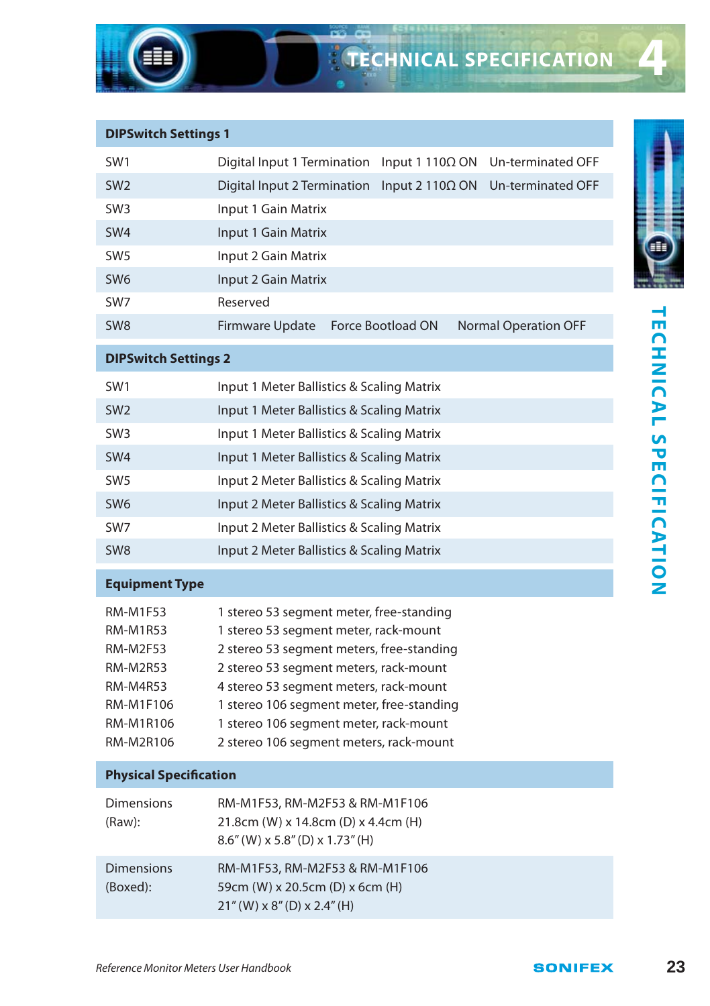| <b>DIPSwitch Settings 1</b>                                                                                   |                                                                                                                                                                                                                                                                                                                                                      |  |  |  |  |
|---------------------------------------------------------------------------------------------------------------|------------------------------------------------------------------------------------------------------------------------------------------------------------------------------------------------------------------------------------------------------------------------------------------------------------------------------------------------------|--|--|--|--|
| SW1                                                                                                           | Digital Input 1 Termination<br>Input 1 110Ω ON<br>Un-terminated OFF                                                                                                                                                                                                                                                                                  |  |  |  |  |
| SW <sub>2</sub>                                                                                               | Digital Input 2 Termination<br>Input 2 110 $\Omega$ ON<br>Un-terminated OFF                                                                                                                                                                                                                                                                          |  |  |  |  |
| SW <sub>3</sub>                                                                                               | Input 1 Gain Matrix                                                                                                                                                                                                                                                                                                                                  |  |  |  |  |
| SW <sub>4</sub>                                                                                               | Input 1 Gain Matrix                                                                                                                                                                                                                                                                                                                                  |  |  |  |  |
| SW <sub>5</sub>                                                                                               | Input 2 Gain Matrix                                                                                                                                                                                                                                                                                                                                  |  |  |  |  |
| SW <sub>6</sub>                                                                                               | Input 2 Gain Matrix                                                                                                                                                                                                                                                                                                                                  |  |  |  |  |
| SW7                                                                                                           | Reserved                                                                                                                                                                                                                                                                                                                                             |  |  |  |  |
| SW <sub>8</sub>                                                                                               | Force Bootload ON<br><b>Firmware Update</b><br><b>Normal Operation OFF</b>                                                                                                                                                                                                                                                                           |  |  |  |  |
| <b>DIPSwitch Settings 2</b>                                                                                   |                                                                                                                                                                                                                                                                                                                                                      |  |  |  |  |
| SW <sub>1</sub>                                                                                               | Input 1 Meter Ballistics & Scaling Matrix                                                                                                                                                                                                                                                                                                            |  |  |  |  |
| SW <sub>2</sub>                                                                                               | Input 1 Meter Ballistics & Scaling Matrix                                                                                                                                                                                                                                                                                                            |  |  |  |  |
| SW <sub>3</sub>                                                                                               | Input 1 Meter Ballistics & Scaling Matrix                                                                                                                                                                                                                                                                                                            |  |  |  |  |
| SW <sub>4</sub>                                                                                               | Input 1 Meter Ballistics & Scaling Matrix                                                                                                                                                                                                                                                                                                            |  |  |  |  |
| SW <sub>5</sub>                                                                                               | Input 2 Meter Ballistics & Scaling Matrix                                                                                                                                                                                                                                                                                                            |  |  |  |  |
| SW <sub>6</sub>                                                                                               | Input 2 Meter Ballistics & Scaling Matrix                                                                                                                                                                                                                                                                                                            |  |  |  |  |
| SW7                                                                                                           | Input 2 Meter Ballistics & Scaling Matrix                                                                                                                                                                                                                                                                                                            |  |  |  |  |
| SW <sub>8</sub>                                                                                               | Input 2 Meter Ballistics & Scaling Matrix                                                                                                                                                                                                                                                                                                            |  |  |  |  |
| <b>Equipment Type</b>                                                                                         |                                                                                                                                                                                                                                                                                                                                                      |  |  |  |  |
| RM-M1F53<br><b>RM-M1R53</b><br><b>RM-M2F53</b><br>RM-M2R53<br>RM-M4R53<br>RM-M1F106<br>RM-M1R106<br>RM-M2R106 | 1 stereo 53 segment meter, free-standing<br>1 stereo 53 segment meter, rack-mount<br>2 stereo 53 segment meters, free-standing<br>2 stereo 53 segment meters, rack-mount<br>4 stereo 53 segment meters, rack-mount<br>1 stereo 106 segment meter, free-standing<br>1 stereo 106 segment meter, rack-mount<br>2 stereo 106 segment meters, rack-mount |  |  |  |  |
| <b>Physical Specification</b>                                                                                 |                                                                                                                                                                                                                                                                                                                                                      |  |  |  |  |
| <b>Dimensions</b><br>(Raw):                                                                                   | RM-M1F53, RM-M2F53 & RM-M1F106<br>21.8cm (W) x 14.8cm (D) x 4.4cm (H)<br>$8.6''$ (W) x 5.8" (D) x 1.73" (H)                                                                                                                                                                                                                                          |  |  |  |  |
| <b>Dimensions</b><br>(Boxed):                                                                                 | RM-M1F53, RM-M2F53 & RM-M1F106<br>59cm (W) x 20.5cm (D) x 6cm (H)<br>$21''(W) \times 8''(D) \times 2.4''(H)$                                                                                                                                                                                                                                         |  |  |  |  |



TECHNICAL SPECIFICATION **TECHNICAL SPECIFICATION**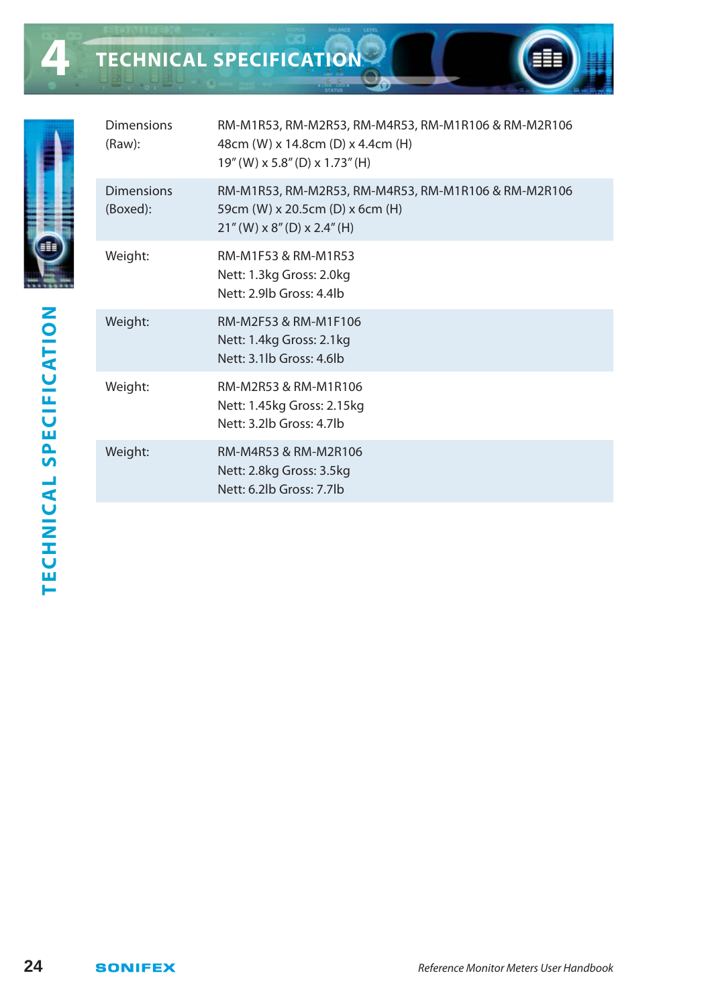**TECHNICAL SPECIFICATION**



| <b>Dimensions</b><br>(Raw): | RM-M1R53, RM-M2R53, RM-M4R53, RM-M1R106 & RM-M2R106<br>48cm (W) x 14.8cm (D) x 4.4cm (H)<br>19" (W) x 5.8" (D) x 1.73" (H) |
|-----------------------------|----------------------------------------------------------------------------------------------------------------------------|
| Dimensions<br>(Boxed):      | RM-M1R53, RM-M2R53, RM-M4R53, RM-M1R106 & RM-M2R106<br>59cm (W) x 20.5cm (D) x 6cm (H)<br>$21''$ (W) x 8" (D) x 2.4" (H)   |
| Weight:                     | RM-M1F53 & RM-M1R53<br>Nett: 1.3kg Gross: 2.0kg<br>Nett: 2.9lb Gross: 4.4lb                                                |
| Weight:                     | RM-M2F53 & RM-M1F106<br>Nett: 1.4kg Gross: 2.1kg<br>Nett: 3.1lb Gross: 4.6lb                                               |
| Weight:                     | RM-M2R53 & RM-M1R106<br>Nett: 1.45kg Gross: 2.15kg<br>Nett: 3.2lb Gross: 4.7lb                                             |
| Weight:                     | RM-M4R53 & RM-M2R106<br>Nett: 2.8kg Gross: 3.5kg<br>Nett: 6.2lb Gross: 7.7lb                                               |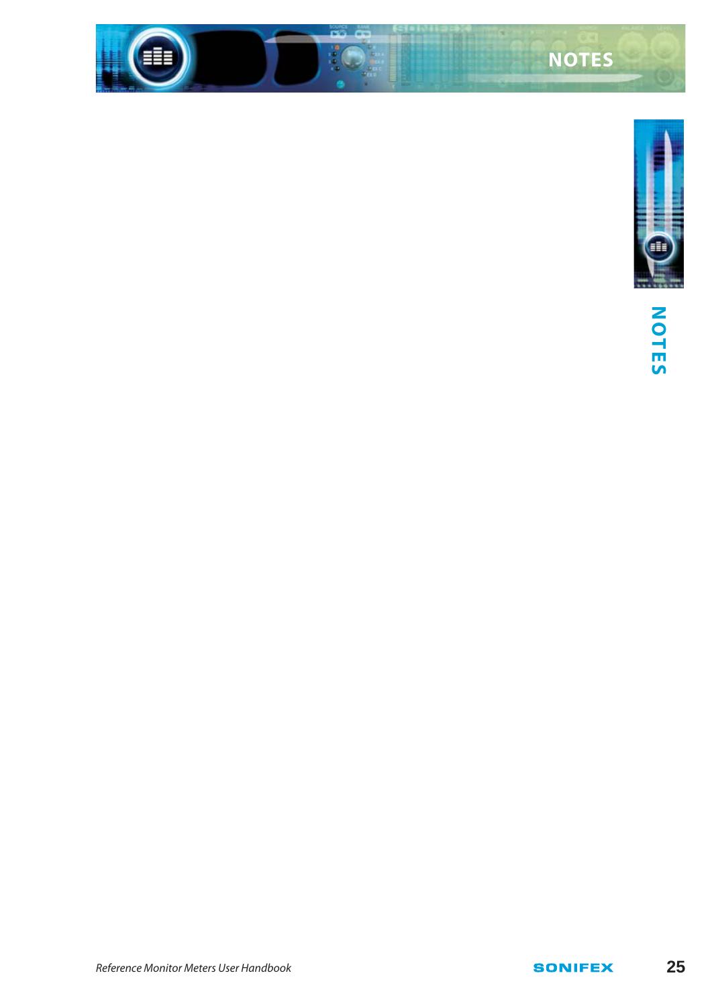